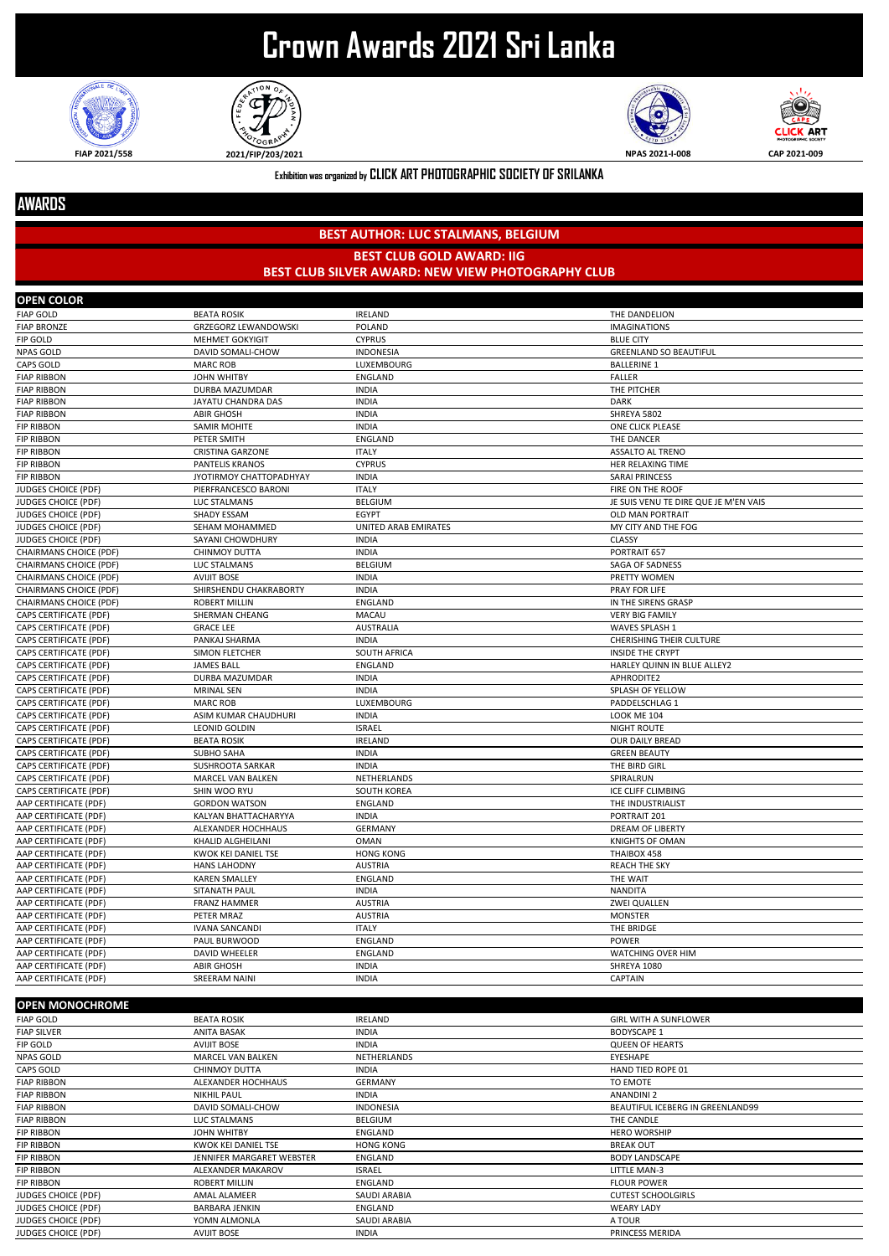## **Crown Awards 2021 Sri Lanka**







**CLICK ART** 

**Exhibition was organized by CLICK ART PHOTOGRAPHIC SOCIETY OF SRILANKA**

## **AWARDS**

## **BEST AUTHOR: LUC STALMANS, BELGIUM BEST CLUB GOLD AWARD: IIG BEST CLUB SILVER AWARD: NEW VIEW PHOTOGRAPHY CLUB**

| <b>OPEN COLOR</b>             |                             |                      |                                       |
|-------------------------------|-----------------------------|----------------------|---------------------------------------|
| <b>FIAP GOLD</b>              | <b>BEATA ROSIK</b>          | <b>IRELAND</b>       | THE DANDELION                         |
| <b>FIAP BRONZE</b>            | <b>GRZEGORZ LEWANDOWSKI</b> | POLAND               | <b>IMAGINATIONS</b>                   |
| <b>FIP GOLD</b>               | <b>MEHMET GOKYIGIT</b>      | <b>CYPRUS</b>        | <b>BLUE CITY</b>                      |
| <b>NPAS GOLD</b>              | DAVID SOMALI-CHOW           | <b>INDONESIA</b>     | <b>GREENLAND SO BEAUTIFUL</b>         |
| <b>CAPS GOLD</b>              | <b>MARC ROB</b>             | LUXEMBOURG           | <b>BALLERINE 1</b>                    |
| <b>FIAP RIBBON</b>            | <b>JOHN WHITBY</b>          | <b>ENGLAND</b>       | <b>FALLER</b>                         |
| <b>FIAP RIBBON</b>            | DURBA MAZUMDAR              | <b>INDIA</b>         | THE PITCHER                           |
| <b>FIAP RIBBON</b>            | JAYATU CHANDRA DAS          | <b>INDIA</b>         | <b>DARK</b>                           |
| <b>FIAP RIBBON</b>            | <b>ABIR GHOSH</b>           | <b>INDIA</b>         | SHREYA 5802                           |
| <b>FIP RIBBON</b>             | <b>SAMIR MOHITE</b>         | <b>INDIA</b>         | ONE CLICK PLEASE                      |
| <b>FIP RIBBON</b>             | PETER SMITH                 | <b>ENGLAND</b>       | THE DANCER                            |
| <b>FIP RIBBON</b>             | <b>CRISTINA GARZONE</b>     | <b>ITALY</b>         | <b>ASSALTO AL TRENO</b>               |
| <b>FIP RIBBON</b>             | <b>PANTELIS KRANOS</b>      | <b>CYPRUS</b>        | HER RELAXING TIME                     |
| <b>FIP RIBBON</b>             | JYOTIRMOY CHATTOPADHYAY     | <b>INDIA</b>         | <b>SARAI PRINCESS</b>                 |
| JUDGES CHOICE (PDF)           | PIERFRANCESCO BARONI        | <b>ITALY</b>         | FIRE ON THE ROOF                      |
| <b>JUDGES CHOICE (PDF)</b>    | LUC STALMANS                | BELGIUM              | JE SUIS VENU TE DIRE QUE JE M'EN VAIS |
| JUDGES CHOICE (PDF)           | SHADY ESSAM                 | EGYPT                | <b>OLD MAN PORTRAIT</b>               |
| <b>JUDGES CHOICE (PDF)</b>    | SEHAM MOHAMMED              | UNITED ARAB EMIRATES | MY CITY AND THE FOG                   |
| JUDGES CHOICE (PDF)           | SAYANI CHOWDHURY            | <b>INDIA</b>         | <b>CLASSY</b>                         |
| <b>CHAIRMANS CHOICE (PDF)</b> | <b>CHINMOY DUTTA</b>        | <b>INDIA</b>         | PORTRAIT 657                          |
| <b>CHAIRMANS CHOICE (PDF)</b> | LUC STALMANS                | BELGIUM              | SAGA OF SADNESS                       |
| <b>CHAIRMANS CHOICE (PDF)</b> | <b>AVIJIT BOSE</b>          | <b>INDIA</b>         | PRETTY WOMEN                          |
| CHAIRMANS CHOICE (PDF)        | SHIRSHENDU CHAKRABORTY      | <b>INDIA</b>         | PRAY FOR LIFE                         |
| <b>CHAIRMANS CHOICE (PDF)</b> | <b>ROBERT MILLIN</b>        | <b>ENGLAND</b>       | IN THE SIRENS GRASP                   |
| <b>CAPS CERTIFICATE (PDF)</b> | SHERMAN CHEANG              | MACAU                | <b>VERY BIG FAMILY</b>                |
| CAPS CERTIFICATE (PDF)        | <b>GRACE LEE</b>            | <b>AUSTRALIA</b>     | <b>WAVES SPLASH 1</b>                 |
| <b>CAPS CERTIFICATE (PDF)</b> | PANKAJ SHARMA               | <b>INDIA</b>         | <b>CHERISHING THEIR CULTURE</b>       |
| <b>CAPS CERTIFICATE (PDF)</b> | SIMON FLETCHER              | <b>SOUTH AFRICA</b>  | <b>INSIDE THE CRYPT</b>               |
| <b>CAPS CERTIFICATE (PDF)</b> | <b>JAMES BALL</b>           | <b>ENGLAND</b>       | HARLEY QUINN IN BLUE ALLEY2           |
| CAPS CERTIFICATE (PDF)        | <b>DURBA MAZUMDAR</b>       | <b>INDIA</b>         | APHRODITE2                            |
| CAPS CERTIFICATE (PDF)        | <b>MRINAL SEN</b>           | <b>INDIA</b>         | SPLASH OF YELLOW                      |
| <b>CAPS CERTIFICATE (PDF)</b> | <b>MARC ROB</b>             | LUXEMBOURG           | PADDELSCHLAG 1                        |
| CAPS CERTIFICATE (PDF)        | ASIM KUMAR CHAUDHURI        | <b>INDIA</b>         | <b>LOOK ME 104</b>                    |
| CAPS CERTIFICATE (PDF)        | LEONID GOLDIN               | <b>ISRAEL</b>        | <b>NIGHT ROUTE</b>                    |
| <b>CAPS CERTIFICATE (PDF)</b> | <b>BEATA ROSIK</b>          | <b>IRELAND</b>       | OUR DAILY BREAD                       |
| <b>CAPS CERTIFICATE (PDF)</b> | <b>SUBHO SAHA</b>           | <b>INDIA</b>         | <b>GREEN BEAUTY</b>                   |
| <b>CAPS CERTIFICATE (PDF)</b> | <b>SUSHROOTA SARKAR</b>     | <b>INDIA</b>         | THE BIRD GIRL                         |
| <b>CAPS CERTIFICATE (PDF)</b> | <b>MARCEL VAN BALKEN</b>    | NETHERLANDS          | SPIRALRUN                             |
| CAPS CERTIFICATE (PDF)        | SHIN WOO RYU                | <b>SOUTH KOREA</b>   | ICE CLIFF CLIMBING                    |
| AAP CERTIFICATE (PDF)         | <b>GORDON WATSON</b>        | ENGLAND              | THE INDUSTRIALIST                     |
| AAP CERTIFICATE (PDF)         | KALYAN BHATTACHARYYA        | <b>INDIA</b>         | PORTRAIT 201                          |
| AAP CERTIFICATE (PDF)         | ALEXANDER HOCHHAUS          | <b>GERMANY</b>       | DREAM OF LIBERTY                      |
| AAP CERTIFICATE (PDF)         | KHALID ALGHEILANI           | <b>OMAN</b>          | <b>KNIGHTS OF OMAN</b>                |
| AAP CERTIFICATE (PDF)         | <b>KWOK KEI DANIEL TSE</b>  | <b>HONG KONG</b>     | THAIBOX 458                           |
| AAP CERTIFICATE (PDF)         | <b>HANS LAHODNY</b>         | <b>AUSTRIA</b>       | <b>REACH THE SKY</b>                  |
| AAP CERTIFICATE (PDF)         | <b>KAREN SMALLEY</b>        | <b>ENGLAND</b>       | THE WAIT                              |
| AAP CERTIFICATE (PDF)         | <b>SITANATH PAUL</b>        | <b>INDIA</b>         | <b>NANDITA</b>                        |
| AAP CERTIFICATE (PDF)         | <b>FRANZ HAMMER</b>         | <b>AUSTRIA</b>       | <b>ZWEI QUALLEN</b>                   |
| AAP CERTIFICATE (PDF)         | PETER MRAZ                  | <b>AUSTRIA</b>       | <b>MONSTER</b>                        |
| AAP CERTIFICATE (PDF)         | <b>IVANA SANCANDI</b>       | <b>ITALY</b>         | THE BRIDGE                            |
| AAP CERTIFICATE (PDF)         | PAUL BURWOOD                | ENGLAND              | <b>POWER</b>                          |
| AAP CERTIFICATE (PDF)         | DAVID WHEELER               | ENGLAND              | WATCHING OVER HIM                     |
| AAP CERTIFICATE (PDF)         | <b>ABIR GHOSH</b>           | <b>INDIA</b>         | SHREYA 1080                           |
| AAP CERTIFICATE (PDF)         | <b>SREERAM NAINI</b>        | <b>INDIA</b>         | CAPTAIN                               |

| <b>OPEN MONOCHROME</b>     |                           |                     |                                  |
|----------------------------|---------------------------|---------------------|----------------------------------|
| <b>FIAP GOLD</b>           | <b>BEATA ROSIK</b>        | <b>IRELAND</b>      | <b>GIRL WITH A SUNFLOWER</b>     |
| <b>FIAP SILVER</b>         | <b>ANITA BASAK</b>        | <b>INDIA</b>        | <b>BODYSCAPE 1</b>               |
| FIP GOLD                   | <b>AVIJIT BOSE</b>        | <b>INDIA</b>        | <b>QUEEN OF HEARTS</b>           |
| <b>NPAS GOLD</b>           | <b>MARCEL VAN BALKEN</b>  | NETHERLANDS         | EYESHAPE                         |
| CAPS GOLD                  | <b>CHINMOY DUTTA</b>      | <b>INDIA</b>        | HAND TIED ROPE 01                |
| <b>FIAP RIBBON</b>         | ALEXANDER HOCHHAUS        | <b>GERMANY</b>      | TO EMOTE                         |
| <b>FIAP RIBBON</b>         | <b>NIKHIL PAUL</b>        | <b>INDIA</b>        | <b>ANANDINI 2</b>                |
| <b>FIAP RIBBON</b>         | <b>DAVID SOMALI-CHOW</b>  | <b>INDONESIA</b>    | BEAUTIFUL ICEBERG IN GREENLAND99 |
| <b>FIAP RIBBON</b>         | LUC STALMANS              | BELGIUM             | THE CANDLE                       |
| <b>FIP RIBBON</b>          | JOHN WHITBY               | ENGLAND             | <b>HERO WORSHIP</b>              |
| <b>FIP RIBBON</b>          | KWOK KEI DANIEL TSE       | <b>HONG KONG</b>    | <b>BREAK OUT</b>                 |
| <b>FIP RIBBON</b>          | JENNIFER MARGARET WEBSTER | <b>ENGLAND</b>      | <b>BODY LANDSCAPE</b>            |
| <b>FIP RIBBON</b>          | ALEXANDER MAKAROV         | <b>ISRAEL</b>       | LITTLE MAN-3                     |
| <b>FIP RIBBON</b>          | <b>ROBERT MILLIN</b>      | <b>ENGLAND</b>      | <b>FLOUR POWER</b>               |
| <b>JUDGES CHOICE (PDF)</b> | AMAL ALAMEER              | SAUDI ARABIA        | <b>CUTEST SCHOOLGIRLS</b>        |
| <b>JUDGES CHOICE (PDF)</b> | <b>BARBARA JENKIN</b>     | ENGLAND             | <b>WEARY LADY</b>                |
| <b>JUDGES CHOICE (PDF)</b> | YOMN ALMONLA              | <b>SAUDI ARABIA</b> | A TOUR                           |
| <b>JUDGES CHOICE (PDF)</b> | <b>AVIJIT BOSE</b>        | <b>INDIA</b>        | PRINCESS MERIDA                  |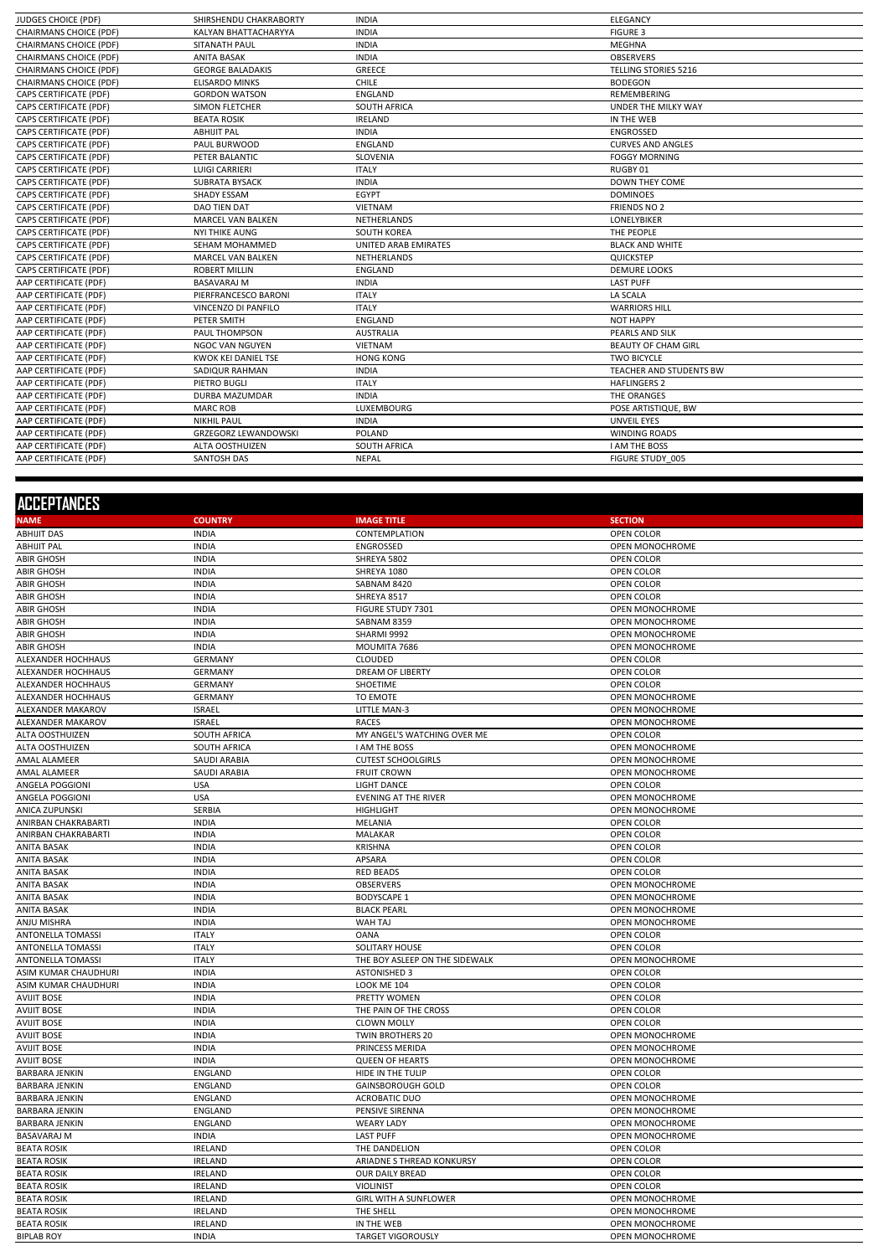| <b>JUDGES CHOICE (PDF)</b>    | SHIRSHENDU CHAKRABORTY      | <b>INDIA</b>                | ELEGANCY                       |
|-------------------------------|-----------------------------|-----------------------------|--------------------------------|
| <b>CHAIRMANS CHOICE (PDF)</b> | KALYAN BHATTACHARYYA        | <b>INDIA</b>                | <b>FIGURE 3</b>                |
| <b>CHAIRMANS CHOICE (PDF)</b> | SITANATH PAUL               | <b>INDIA</b>                | MEGHNA                         |
| <b>CHAIRMANS CHOICE (PDF)</b> | <b>ANITA BASAK</b>          | <b>INDIA</b>                | <b>OBSERVERS</b>               |
| <b>CHAIRMANS CHOICE (PDF)</b> | <b>GEORGE BALADAKIS</b>     | GREECE                      | <b>TELLING STORIES 5216</b>    |
| <b>CHAIRMANS CHOICE (PDF)</b> | <b>ELISARDO MINKS</b>       | <b>CHILE</b>                | <b>BODEGON</b>                 |
| CAPS CERTIFICATE (PDF)        | <b>GORDON WATSON</b>        | <b>ENGLAND</b>              | <b>REMEMBERING</b>             |
| CAPS CERTIFICATE (PDF)        | <b>SIMON FLETCHER</b>       | <b>SOUTH AFRICA</b>         | <b>UNDER THE MILKY WAY</b>     |
| CAPS CERTIFICATE (PDF)        | <b>BEATA ROSIK</b>          | <b>IRELAND</b>              | IN THE WEB                     |
| CAPS CERTIFICATE (PDF)        | <b>ABHIJIT PAL</b>          | <b>INDIA</b>                | <b>ENGROSSED</b>               |
| CAPS CERTIFICATE (PDF)        | PAUL BURWOOD                | <b>ENGLAND</b>              | <b>CURVES AND ANGLES</b>       |
| CAPS CERTIFICATE (PDF)        | PETER BALANTIC              | SLOVENIA                    | <b>FOGGY MORNING</b>           |
| <b>CAPS CERTIFICATE (PDF)</b> | <b>LUIGI CARRIERI</b>       | <b>ITALY</b>                | RUGBY 01                       |
| CAPS CERTIFICATE (PDF)        | <b>SUBRATA BYSACK</b>       | <b>INDIA</b>                | <b>DOWN THEY COME</b>          |
| CAPS CERTIFICATE (PDF)        | <b>SHADY ESSAM</b>          | <b>EGYPT</b>                | <b>DOMINOES</b>                |
| <b>CAPS CERTIFICATE (PDF)</b> | <b>DAO TIEN DAT</b>         | <b>VIETNAM</b>              | <b>FRIENDS NO 2</b>            |
| CAPS CERTIFICATE (PDF)        | <b>MARCEL VAN BALKEN</b>    | NETHERLANDS                 | <b>LONELYBIKER</b>             |
| <b>CAPS CERTIFICATE (PDF)</b> | <b>NYI THIKE AUNG</b>       | <b>SOUTH KOREA</b>          | THE PEOPLE                     |
| CAPS CERTIFICATE (PDF)        | SEHAM MOHAMMED              | <b>UNITED ARAB EMIRATES</b> | <b>BLACK AND WHITE</b>         |
| CAPS CERTIFICATE (PDF)        | <b>MARCEL VAN BALKEN</b>    | NETHERLANDS                 | QUICKSTEP                      |
| <b>CAPS CERTIFICATE (PDF)</b> | <b>ROBERT MILLIN</b>        | <b>ENGLAND</b>              | <b>DEMURE LOOKS</b>            |
| AAP CERTIFICATE (PDF)         | <b>BASAVARAJ M</b>          | <b>INDIA</b>                | <b>LAST PUFF</b>               |
| AAP CERTIFICATE (PDF)         | PIERFRANCESCO BARONI        | <b>ITALY</b>                | LA SCALA                       |
| AAP CERTIFICATE (PDF)         | <b>VINCENZO DI PANFILO</b>  | <b>ITALY</b>                | <b>WARRIORS HILL</b>           |
| AAP CERTIFICATE (PDF)         | PETER SMITH                 | <b>ENGLAND</b>              | <b>NOT HAPPY</b>               |
| AAP CERTIFICATE (PDF)         | PAUL THOMPSON               | <b>AUSTRALIA</b>            | PEARLS AND SILK                |
| AAP CERTIFICATE (PDF)         | <b>NGOC VAN NGUYEN</b>      | <b>VIETNAM</b>              | <b>BEAUTY OF CHAM GIRL</b>     |
| AAP CERTIFICATE (PDF)         | KWOK KEI DANIEL TSE         | <b>HONG KONG</b>            | <b>TWO BICYCLE</b>             |
| AAP CERTIFICATE (PDF)         | SADIQUR RAHMAN              | <b>INDIA</b>                | <b>TEACHER AND STUDENTS BW</b> |
| AAP CERTIFICATE (PDF)         | PIETRO BUGLI                | <b>ITALY</b>                | <b>HAFLINGERS 2</b>            |
| AAP CERTIFICATE (PDF)         | <b>DURBA MAZUMDAR</b>       | <b>INDIA</b>                | THE ORANGES                    |
| AAP CERTIFICATE (PDF)         | <b>MARC ROB</b>             | LUXEMBOURG                  | POSE ARTISTIQUE, BW            |
| AAP CERTIFICATE (PDF)         | <b>NIKHIL PAUL</b>          | <b>INDIA</b>                | <b>UNVEIL EYES</b>             |
| AAP CERTIFICATE (PDF)         | <b>GRZEGORZ LEWANDOWSKI</b> | POLAND                      | <b>WINDING ROADS</b>           |
| AAP CERTIFICATE (PDF)         | ALTA OOSTHUIZEN             | <b>SOUTH AFRICA</b>         | <b>I AM THE BOSS</b>           |
| AAP CERTIFICATE (PDF)         | SANTOSH DAS                 | <b>NEPAL</b>                | FIGURE STUDY 005               |
|                               |                             |                             |                                |

| <b>ACCEPTANCES</b>       |                     |                                |                        |
|--------------------------|---------------------|--------------------------------|------------------------|
| <b>NAME</b>              | <b>COUNTRY</b>      | <b>IMAGE TITLE</b>             | <b>SECTION</b>         |
| <b>ABHIJIT DAS</b>       | <b>INDIA</b>        | CONTEMPLATION                  | OPEN COLOR             |
| <b>ABHIJIT PAL</b>       | <b>INDIA</b>        | <b>ENGROSSED</b>               | OPEN MONOCHROME        |
| <b>ABIR GHOSH</b>        | <b>INDIA</b>        | SHREYA 5802                    | OPEN COLOR             |
| <b>ABIR GHOSH</b>        | <b>INDIA</b>        | SHREYA 1080                    | OPEN COLOR             |
| <b>ABIR GHOSH</b>        | <b>INDIA</b>        | SABNAM 8420                    | <b>OPEN COLOR</b>      |
| <b>ABIR GHOSH</b>        | <b>INDIA</b>        | SHREYA 8517                    | OPEN COLOR             |
| <b>ABIR GHOSH</b>        | <b>INDIA</b>        | FIGURE STUDY 7301              | OPEN MONOCHROME        |
| <b>ABIR GHOSH</b>        | <b>INDIA</b>        | SABNAM 8359                    | OPEN MONOCHROME        |
| <b>ABIR GHOSH</b>        | <b>INDIA</b>        | SHARMI 9992                    | <b>OPEN MONOCHROME</b> |
| <b>ABIR GHOSH</b>        | <b>INDIA</b>        | MOUMITA 7686                   | OPEN MONOCHROME        |
| ALEXANDER HOCHHAUS       | <b>GERMANY</b>      | <b>CLOUDED</b>                 | OPEN COLOR             |
| ALEXANDER HOCHHAUS       | <b>GERMANY</b>      | <b>DREAM OF LIBERTY</b>        | OPEN COLOR             |
| ALEXANDER HOCHHAUS       | <b>GERMANY</b>      | <b>SHOETIME</b>                | <b>OPEN COLOR</b>      |
| ALEXANDER HOCHHAUS       | <b>GERMANY</b>      | TO EMOTE                       | OPEN MONOCHROME        |
| ALEXANDER MAKAROV        | <b>ISRAEL</b>       | LITTLE MAN-3                   | OPEN MONOCHROME        |
| ALEXANDER MAKAROV        | <b>ISRAEL</b>       | <b>RACES</b>                   | OPEN MONOCHROME        |
| ALTA OOSTHUIZEN          | SOUTH AFRICA        | MY ANGEL'S WATCHING OVER ME    | OPEN COLOR             |
| ALTA OOSTHUIZEN          | SOUTH AFRICA        | I AM THE BOSS                  | OPEN MONOCHROME        |
| <b>AMAL ALAMEER</b>      | <b>SAUDI ARABIA</b> | <b>CUTEST SCHOOLGIRLS</b>      | OPEN MONOCHROME        |
| <b>AMAL ALAMEER</b>      | <b>SAUDI ARABIA</b> | <b>FRUIT CROWN</b>             | OPEN MONOCHROME        |
| ANGELA POGGIONI          | <b>USA</b>          | <b>LIGHT DANCE</b>             | OPEN COLOR             |
| ANGELA POGGIONI          | <b>USA</b>          | <b>EVENING AT THE RIVER</b>    | OPEN MONOCHROME        |
| <b>ANICA ZUPUNSKI</b>    | SERBIA              | HIGHLIGHT                      | OPEN MONOCHROME        |
| ANIRBAN CHAKRABARTI      | <b>INDIA</b>        | <b>MELANIA</b>                 | OPEN COLOR             |
| ANIRBAN CHAKRABARTI      | <b>INDIA</b>        | MALAKAR                        | OPEN COLOR             |
| <b>ANITA BASAK</b>       | <b>INDIA</b>        | <b>KRISHNA</b>                 | OPEN COLOR             |
| <b>ANITA BASAK</b>       | <b>INDIA</b>        | APSARA                         | OPEN COLOR             |
| <b>ANITA BASAK</b>       | <b>INDIA</b>        | <b>RED BEADS</b>               | OPEN COLOR             |
| <b>ANITA BASAK</b>       | <b>INDIA</b>        | <b>OBSERVERS</b>               | OPEN MONOCHROME        |
| <b>ANITA BASAK</b>       | <b>INDIA</b>        | <b>BODYSCAPE 1</b>             | OPEN MONOCHROME        |
| <b>ANITA BASAK</b>       | <b>INDIA</b>        | <b>BLACK PEARL</b>             | <b>OPEN MONOCHROME</b> |
| ANJU MISHRA              | <b>INDIA</b>        | WAH TAJ                        | OPEN MONOCHROME        |
| <b>ANTONELLA TOMASSI</b> | <b>ITALY</b>        | <b>OANA</b>                    | OPEN COLOR             |
| <b>ANTONELLA TOMASSI</b> | <b>ITALY</b>        | <b>SOLITARY HOUSE</b>          | <b>OPEN COLOR</b>      |
| <b>ANTONELLA TOMASSI</b> | <b>ITALY</b>        | THE BOY ASLEEP ON THE SIDEWALK | OPEN MONOCHROME        |
| ASIM KUMAR CHAUDHURI     | <b>INDIA</b>        | <b>ASTONISHED 3</b>            | OPEN COLOR             |
| ASIM KUMAR CHAUDHURI     | <b>INDIA</b>        | <b>LOOK ME 104</b>             | OPEN COLOR             |
| <b>AVIJIT BOSE</b>       | <b>INDIA</b>        | PRETTY WOMEN                   | OPEN COLOR             |
| <b>AVIJIT BOSE</b>       | <b>INDIA</b>        | THE PAIN OF THE CROSS          | OPEN COLOR             |
| <b>AVIJIT BOSE</b>       | <b>INDIA</b>        | <b>CLOWN MOLLY</b>             | OPEN COLOR             |
| <b>AVIJIT BOSE</b>       | <b>INDIA</b>        | <b>TWIN BROTHERS 20</b>        | OPEN MONOCHROME        |
| <b>AVIJIT BOSE</b>       | <b>INDIA</b>        | PRINCESS MERIDA                | OPEN MONOCHROME        |
| <b>AVIJIT BOSE</b>       | <b>INDIA</b>        | <b>QUEEN OF HEARTS</b>         | OPEN MONOCHROME        |
| <b>BARBARA JENKIN</b>    | ENGLAND             | HIDE IN THE TULIP              | OPEN COLOR             |
| <b>BARBARA JENKIN</b>    | ENGLAND             | <b>GAINSBOROUGH GOLD</b>       | OPEN COLOR             |
| <b>BARBARA JENKIN</b>    | <b>ENGLAND</b>      | <b>ACROBATIC DUO</b>           | OPEN MONOCHROME        |
| <b>BARBARA JENKIN</b>    | ENGLAND             | PENSIVE SIRENNA                | OPEN MONOCHROME        |
| <b>BARBARA JENKIN</b>    | ENGLAND             | <b>WEARY LADY</b>              | OPEN MONOCHROME        |
| <b>BASAVARAJ M</b>       | <b>INDIA</b>        | <b>LAST PUFF</b>               | OPEN MONOCHROME        |
| <b>BEATA ROSIK</b>       | <b>IRELAND</b>      | THE DANDELION                  | OPEN COLOR             |
| <b>BEATA ROSIK</b>       | <b>IRELAND</b>      | ARIADNE S THREAD KONKURSY      | OPEN COLOR             |
| <b>BEATA ROSIK</b>       | <b>IRELAND</b>      | OUR DAILY BREAD                | OPEN COLOR             |
| <b>BEATA ROSIK</b>       | <b>IRELAND</b>      | <b>VIOLINIST</b>               | OPEN COLOR             |
| <b>BEATA ROSIK</b>       | <b>IRELAND</b>      | <b>GIRL WITH A SUNFLOWER</b>   | OPEN MONOCHROME        |
| <b>BEATA ROSIK</b>       | <b>IRELAND</b>      | THE SHELL                      | OPEN MONOCHROME        |
| <b>BEATA ROSIK</b>       | <b>IRELAND</b>      | IN THE WEB                     | OPEN MONOCHROME        |
| <b>BIPLAB ROY</b>        | <b>INDIA</b>        | <b>TARGET VIGOROUSLY</b>       | OPEN MONOCHROME        |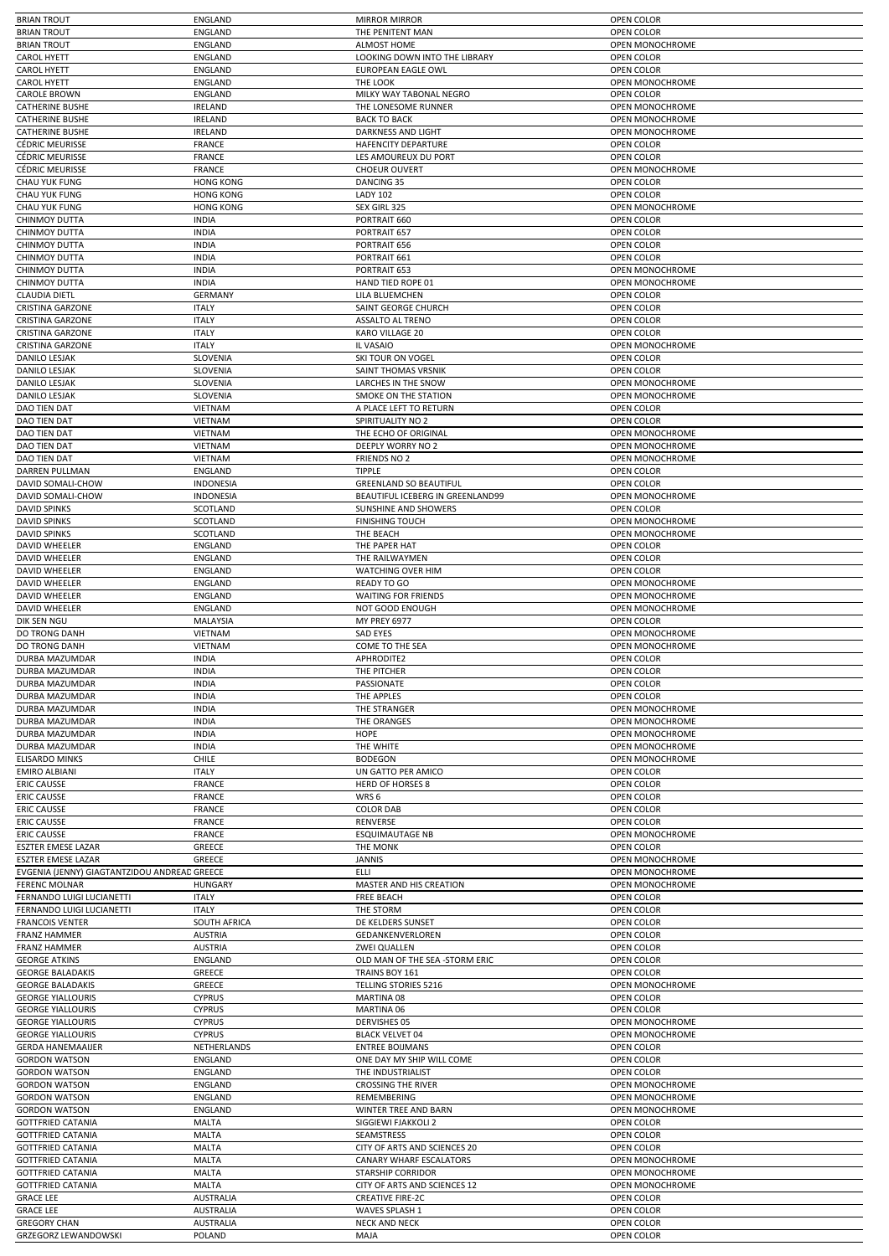|                                                        | <b>ENGLAND</b>                       | <b>MIRROR MIRROR</b>                                    | OPEN COLOR                    |
|--------------------------------------------------------|--------------------------------------|---------------------------------------------------------|-------------------------------|
| <b>BRIAN TROUT</b>                                     | <b>ENGLAND</b>                       | THE PENITENT MAN                                        | OPEN COLOR                    |
| <b>BRIAN TROUT</b>                                     | ENGLAND                              | <b>ALMOST HOME</b>                                      | OPEN MONOCHROME               |
| <b>CAROL HYETT</b>                                     | ENGLAND                              | LOOKING DOWN INTO THE LIBRARY                           | OPEN COLOR                    |
| <b>CAROL HYETT</b>                                     | <b>ENGLAND</b>                       | <b>EUROPEAN EAGLE OWL</b>                               | OPEN COLOR                    |
| <b>CAROL HYETT</b>                                     | ENGLAND                              | THE LOOK                                                | OPEN MONOCHROME               |
| <b>CAROLE BROWN</b>                                    | <b>ENGLAND</b>                       | MILKY WAY TABONAL NEGRO                                 | <b>OPEN COLOR</b>             |
| <b>CATHERINE BUSHE</b>                                 | <b>IRELAND</b>                       | THE LONESOME RUNNER                                     | OPEN MONOCHROME               |
| <b>CATHERINE BUSHE</b>                                 | <b>IRELAND</b>                       | <b>BACK TO BACK</b>                                     | OPEN MONOCHROME               |
| <b>CATHERINE BUSHE</b>                                 | <b>IRELAND</b>                       | DARKNESS AND LIGHT                                      | OPEN MONOCHROME               |
| <b>CÉDRIC MEURISSE</b>                                 | <b>FRANCE</b>                        | HAFENCITY DEPARTURE                                     | OPEN COLOR                    |
| <b>CÉDRIC MEURISSE</b>                                 | <b>FRANCE</b>                        | LES AMOUREUX DU PORT                                    | OPEN COLOR                    |
| <b>CÉDRIC MEURISSE</b>                                 | <b>FRANCE</b>                        | <b>CHOEUR OUVERT</b>                                    | <b>OPEN MONOCHROME</b>        |
| CHAU YUK FUNG                                          | <b>HONG KONG</b>                     | DANCING 35                                              | OPEN COLOR                    |
| <b>CHAU YUK FUNG</b>                                   | <b>HONG KONG</b>                     | <b>LADY 102</b>                                         | OPEN COLOR                    |
| CHAU YUK FUNG                                          | <b>HONG KONG</b>                     | SEX GIRL 325<br>PORTRAIT 660                            | OPEN MONOCHROME               |
| <b>CHINMOY DUTTA</b><br><b>CHINMOY DUTTA</b>           | <b>INDIA</b><br><b>INDIA</b>         | PORTRAIT 657                                            | OPEN COLOR<br>OPEN COLOR      |
| <b>CHINMOY DUTTA</b>                                   | <b>INDIA</b>                         | PORTRAIT 656                                            | OPEN COLOR                    |
| <b>CHINMOY DUTTA</b>                                   | <b>INDIA</b>                         | PORTRAIT 661                                            | OPEN COLOR                    |
| CHINMOY DUTTA                                          | <b>INDIA</b>                         | PORTRAIT 653                                            | OPEN MONOCHROME               |
| <b>CHINMOY DUTTA</b>                                   | <b>INDIA</b>                         | HAND TIED ROPE 01                                       | OPEN MONOCHROME               |
| <b>CLAUDIA DIETL</b>                                   | <b>GERMANY</b>                       | LILA BLUEMCHEN                                          | OPEN COLOR                    |
| <b>CRISTINA GARZONE</b>                                | <b>ITALY</b>                         | SAINT GEORGE CHURCH                                     | OPEN COLOR                    |
| <b>CRISTINA GARZONE</b>                                | <b>ITALY</b>                         | <b>ASSALTO AL TRENO</b>                                 | OPEN COLOR                    |
| <b>CRISTINA GARZONE</b>                                | <b>ITALY</b>                         | KARO VILLAGE 20                                         | OPEN COLOR                    |
| <b>CRISTINA GARZONE</b>                                | <b>ITALY</b>                         | IL VASAIO                                               | OPEN MONOCHROME               |
| <b>DANILO LESJAK</b>                                   | SLOVENIA                             | <b>SKI TOUR ON VOGEL</b>                                | OPEN COLOR                    |
| DANILO LESJAK                                          | SLOVENIA                             | SAINT THOMAS VRSNIK                                     | OPEN COLOR                    |
| <b>DANILO LESJAK</b>                                   | SLOVENIA                             | LARCHES IN THE SNOW                                     | <b>OPEN MONOCHROME</b>        |
| DANILO LESJAK                                          | SLOVENIA                             | SMOKE ON THE STATION                                    | <b>OPEN MONOCHROME</b>        |
| DAO TIEN DAT                                           | VIETNAM                              | A PLACE LEFT TO RETURN                                  | OPEN COLOR                    |
| <b>DAO TIEN DAT</b>                                    | <b>VIETNAM</b>                       | SPIRITUALITY NO 2                                       | OPEN COLOR                    |
| DAO TIEN DAT                                           | <b>VIETNAM</b>                       | THE ECHO OF ORIGINAL                                    | OPEN MONOCHROME               |
| <b>DAO TIEN DAT</b>                                    | <b>VIETNAM</b>                       | <b>DEEPLY WORRY NO 2</b>                                | OPEN MONOCHROME               |
| DAO TIEN DAT                                           | VIETNAM                              | FRIENDS NO 2                                            | OPEN MONOCHROME               |
| DARREN PULLMAN                                         | <b>ENGLAND</b>                       | TIPPLE                                                  | OPEN COLOR                    |
| DAVID SOMALI-CHOW                                      | <b>INDONESIA</b>                     | <b>GREENLAND SO BEAUTIFUL</b>                           | OPEN COLOR                    |
| DAVID SOMALI-CHOW                                      | <b>INDONESIA</b>                     | BEAUTIFUL ICEBERG IN GREENLAND99                        | OPEN MONOCHROME               |
| <b>DAVID SPINKS</b>                                    | SCOTLAND                             | SUNSHINE AND SHOWERS                                    | OPEN COLOR                    |
| <b>DAVID SPINKS</b>                                    | SCOTLAND                             | <b>FINISHING TOUCH</b>                                  | OPEN MONOCHROME               |
| <b>DAVID SPINKS</b>                                    | SCOTLAND                             | THE BEACH                                               | OPEN MONOCHROME               |
| <b>DAVID WHEELER</b>                                   | <b>ENGLAND</b>                       | THE PAPER HAT                                           | OPEN COLOR                    |
| DAVID WHEELER                                          | ENGLAND                              | THE RAILWAYMEN                                          | OPEN COLOR                    |
| <b>DAVID WHEELER</b>                                   | <b>ENGLAND</b>                       | <b>WATCHING OVER HIM</b>                                | OPEN COLOR                    |
| <b>DAVID WHEELER</b>                                   | ENGLAND                              | <b>READY TO GO</b>                                      | OPEN MONOCHROME               |
| <b>DAVID WHEELER</b>                                   | <b>ENGLAND</b>                       | <b>WAITING FOR FRIENDS</b>                              | OPEN MONOCHROME               |
| <b>DAVID WHEELER</b>                                   | <b>ENGLAND</b>                       | NOT GOOD ENOUGH                                         | OPEN MONOCHROME               |
| DIK SEN NGU                                            | MALAYSIA                             | <b>MY PREY 6977</b>                                     | OPEN COLOR                    |
| DO TRONG DANH                                          | <b>VIETNAM</b>                       | <b>SAD EYES</b>                                         | OPEN MONOCHROME               |
| DO TRONG DANH                                          | VIETNAM                              | COME TO THE SEA                                         | OPEN MONOCHROME               |
| DURBA MAZUMDAR                                         | <b>INDIA</b>                         | APHRODITE2                                              | OPEN COLOR                    |
| <b>DURBA MAZUMDAR</b>                                  | <b>INDIA</b>                         | THE PITCHER                                             | OPEN COLOR                    |
| DURBA MAZUMDAR                                         | <b>INDIA</b>                         | PASSIONATE                                              | OPEN COLOR                    |
| DURBA MAZUMDAR                                         | <b>INDIA</b>                         | THE APPLES                                              | OPEN COLOR                    |
| DURBA MAZUMDAR                                         | <b>INDIA</b>                         | THE STRANGER                                            | OPEN MONOCHROME               |
| DURBA MAZUMDAR                                         | <b>INDIA</b>                         | THE ORANGES                                             | OPEN MONOCHROME               |
| <b>DURBA MAZUMDAR</b><br>DURBA MAZUMDAR                | <b>INDIA</b>                         | HOPE                                                    | <b>OPEN MONOCHROME</b>        |
|                                                        | <b>INDIA</b>                         | THE WHITE                                               | OPEN MONOCHROME               |
|                                                        |                                      | <b>BODEGON</b>                                          |                               |
| <b>ELISARDO MINKS</b>                                  | <b>CHILE</b>                         |                                                         | OPEN MONOCHROME               |
| <b>EMIRO ALBIANI</b>                                   | <b>ITALY</b>                         | UN GATTO PER AMICO                                      | OPEN COLOR                    |
| <b>ERIC CAUSSE</b>                                     | <b>FRANCE</b>                        | <b>HERD OF HORSES 8</b>                                 | OPEN COLOR                    |
| <b>ERIC CAUSSE</b>                                     | <b>FRANCE</b>                        | WRS 6                                                   | OPEN COLOR                    |
| <b>ERIC CAUSSE</b>                                     | <b>FRANCE</b>                        | <b>COLOR DAB</b>                                        | OPEN COLOR                    |
| <b>ERIC CAUSSE</b>                                     | <b>FRANCE</b>                        | RENVERSE                                                | <b>OPEN COLOR</b>             |
| <b>ERIC CAUSSE</b>                                     | <b>FRANCE</b>                        | <b>ESQUIMAUTAGE NB</b>                                  | OPEN MONOCHROME               |
| <b>ESZTER EMESE LAZAR</b><br><b>ESZTER EMESE LAZAR</b> | GREECE<br>GREECE                     | THE MONK<br><b>JANNIS</b>                               | OPEN COLOR<br>OPEN MONOCHROME |
| EVGENIA (JENNY) GIAGTANTZIDOU ANDREAD GREECE           |                                      | ELLI                                                    | OPEN MONOCHROME               |
| <b>FERENC MOLNAR</b>                                   | <b>HUNGARY</b>                       | MASTER AND HIS CREATION                                 | OPEN MONOCHROME               |
| FERNANDO LUIGI LUCIANETTI                              | <b>ITALY</b>                         | FREE BEACH                                              | OPEN COLOR                    |
| FERNANDO LUIGI LUCIANETTI                              | <b>ITALY</b>                         | THE STORM                                               | OPEN COLOR                    |
| <b>FRANCOIS VENTER</b>                                 | <b>SOUTH AFRICA</b>                  | DE KELDERS SUNSET                                       | OPEN COLOR                    |
| <b>FRANZ HAMMER</b>                                    | <b>AUSTRIA</b>                       | GEDANKENVERLOREN                                        | OPEN COLOR                    |
| <b>FRANZ HAMMER</b>                                    | <b>AUSTRIA</b>                       | <b>ZWEI QUALLEN</b>                                     | OPEN COLOR                    |
| <b>GEORGE ATKINS</b>                                   | ENGLAND                              | OLD MAN OF THE SEA -STORM ERIC                          | OPEN COLOR                    |
| <b>GEORGE BALADAKIS</b>                                | GREECE                               | TRAINS BOY 161                                          | OPEN COLOR                    |
| <b>GEORGE BALADAKIS</b>                                | GREECE                               | <b>TELLING STORIES 5216</b>                             | OPEN MONOCHROME               |
| <b>GEORGE YIALLOURIS</b>                               | <b>CYPRUS</b>                        | MARTINA 08                                              | OPEN COLOR                    |
| <b>GEORGE YIALLOURIS</b>                               | <b>CYPRUS</b>                        | MARTINA 06                                              | OPEN COLOR                    |
| <b>GEORGE YIALLOURIS</b>                               | <b>CYPRUS</b>                        | <b>DERVISHES 05</b>                                     | OPEN MONOCHROME               |
| <b>GEORGE YIALLOURIS</b>                               | <b>CYPRUS</b>                        | <b>BLACK VELVET 04</b>                                  | OPEN MONOCHROME               |
| <b>GERDA HANEMAAIJER</b>                               | NETHERLANDS                          | <b>ENTREE BOIJMANS</b>                                  | OPEN COLOR                    |
| <b>GORDON WATSON</b>                                   | ENGLAND                              | ONE DAY MY SHIP WILL COME                               | OPEN COLOR                    |
| <b>GORDON WATSON</b>                                   | <b>ENGLAND</b>                       | THE INDUSTRIALIST                                       | OPEN COLOR                    |
| <b>GORDON WATSON</b>                                   | ENGLAND                              | <b>CROSSING THE RIVER</b>                               | OPEN MONOCHROME               |
| <b>GORDON WATSON</b>                                   | ENGLAND                              | REMEMBERING                                             | OPEN MONOCHROME               |
| <b>GORDON WATSON</b>                                   | <b>ENGLAND</b>                       | WINTER TREE AND BARN                                    | OPEN MONOCHROME               |
| <b>GOTTFRIED CATANIA</b>                               | MALTA                                | SIGGIEWI FJAKKOLI 2                                     | OPEN COLOR                    |
| <b>GOTTFRIED CATANIA</b>                               | MALTA                                | <b>SEAMSTRESS</b>                                       | OPEN COLOR                    |
| <b>GOTTFRIED CATANIA</b>                               | MALTA                                | CITY OF ARTS AND SCIENCES 20                            | OPEN COLOR                    |
| <b>GOTTFRIED CATANIA</b>                               | MALTA                                | CANARY WHARF ESCALATORS                                 | OPEN MONOCHROME               |
| <b>GOTTFRIED CATANIA</b>                               | MALTA                                | <b>STARSHIP CORRIDOR</b>                                | <b>OPEN MONOCHROME</b>        |
| <b>GOTTFRIED CATANIA</b>                               | MALTA                                | CITY OF ARTS AND SCIENCES 12<br><b>CREATIVE FIRE-2C</b> | OPEN MONOCHROME               |
| <b>GRACE LEE</b>                                       | <b>AUSTRALIA</b>                     |                                                         | OPEN COLOR                    |
| <b>GRACE LEE</b><br><b>GREGORY CHAN</b>                | <b>AUSTRALIA</b><br><b>AUSTRALIA</b> | WAVES SPLASH 1<br><b>NECK AND NECK</b>                  | OPEN COLOR<br>OPEN COLOR      |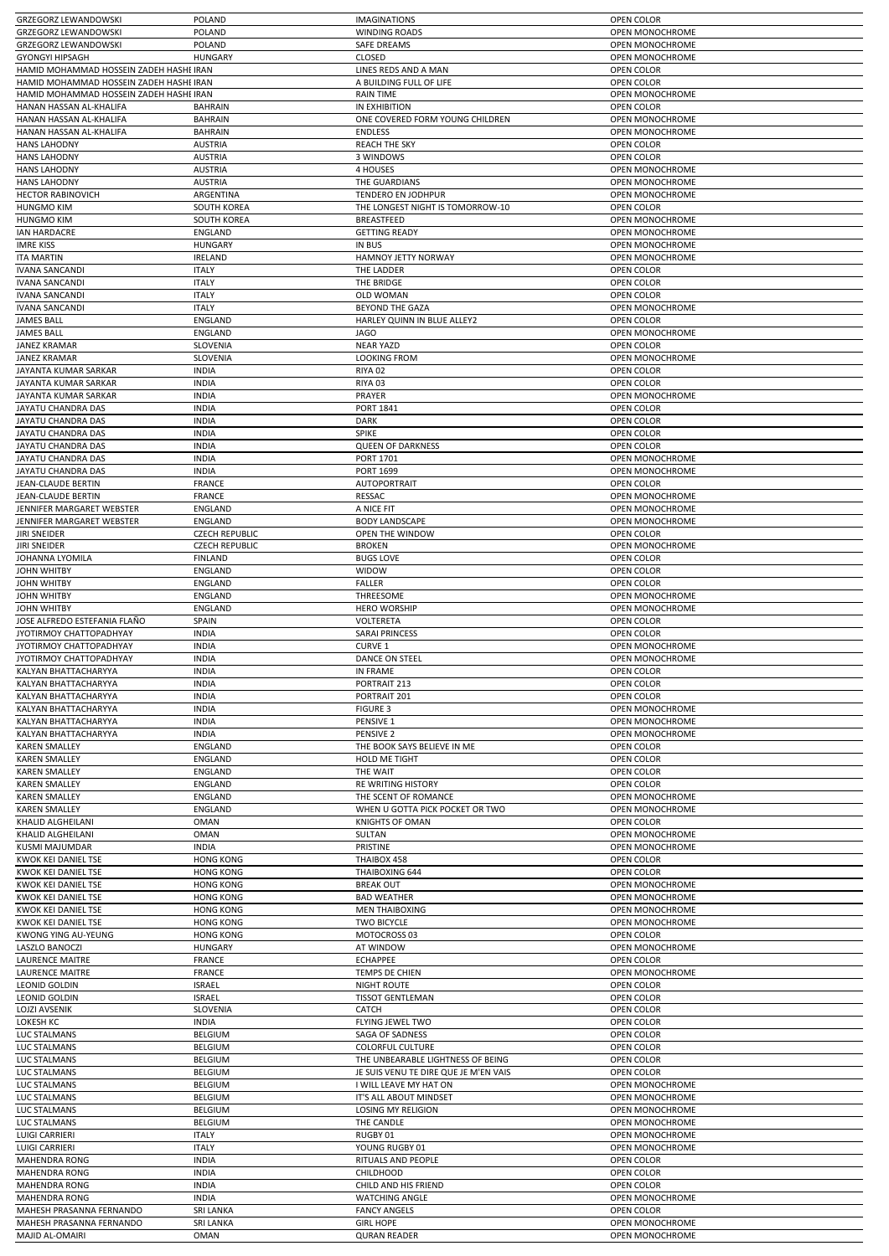|                                                                                                                                                                                                                                                                                                                                                                                                                                                                                                                                      | POLAND                       | <b>IMAGINATIONS</b>                        | OPEN COLOR                    |
|--------------------------------------------------------------------------------------------------------------------------------------------------------------------------------------------------------------------------------------------------------------------------------------------------------------------------------------------------------------------------------------------------------------------------------------------------------------------------------------------------------------------------------------|------------------------------|--------------------------------------------|-------------------------------|
| <b>GRZEGORZ LEWANDOWSKI</b>                                                                                                                                                                                                                                                                                                                                                                                                                                                                                                          | POLAND                       | <b>WINDING ROADS</b>                       | OPEN MONOCHROME               |
| <b>GRZEGORZ LEWANDOWSKI</b>                                                                                                                                                                                                                                                                                                                                                                                                                                                                                                          | POLAND                       | <b>SAFE DREAMS</b>                         | OPEN MONOCHROME               |
| <b>GYONGYI HIPSAGH</b>                                                                                                                                                                                                                                                                                                                                                                                                                                                                                                               | <b>HUNGARY</b>               | CLOSED                                     | <b>OPEN MONOCHROME</b>        |
| HAMID MOHAMMAD HOSSEIN ZADEH HASHEIRAN                                                                                                                                                                                                                                                                                                                                                                                                                                                                                               |                              | LINES REDS AND A MAN                       | OPEN COLOR                    |
| HAMID MOHAMMAD HOSSEIN ZADEH HASHEIRAN                                                                                                                                                                                                                                                                                                                                                                                                                                                                                               |                              | A BUILDING FULL OF LIFE                    | OPEN COLOR                    |
| HAMID MOHAMMAD HOSSEIN ZADEH HASHEIRAN                                                                                                                                                                                                                                                                                                                                                                                                                                                                                               |                              | <b>RAIN TIME</b>                           | OPEN MONOCHROME               |
| HANAN HASSAN AL-KHALIFA                                                                                                                                                                                                                                                                                                                                                                                                                                                                                                              | <b>BAHRAIN</b>               | IN EXHIBITION                              | OPEN COLOR                    |
| HANAN HASSAN AL-KHALIFA                                                                                                                                                                                                                                                                                                                                                                                                                                                                                                              | <b>BAHRAIN</b>               | ONE COVERED FORM YOUNG CHILDREN            | OPEN MONOCHROME               |
| HANAN HASSAN AL-KHALIFA                                                                                                                                                                                                                                                                                                                                                                                                                                                                                                              | <b>BAHRAIN</b>               | <b>ENDLESS</b>                             | OPEN MONOCHROME               |
| <b>HANS LAHODNY</b>                                                                                                                                                                                                                                                                                                                                                                                                                                                                                                                  | <b>AUSTRIA</b>               | <b>REACH THE SKY</b>                       | OPEN COLOR                    |
| <b>HANS LAHODNY</b>                                                                                                                                                                                                                                                                                                                                                                                                                                                                                                                  | <b>AUSTRIA</b>               | 3 WINDOWS                                  | OPEN COLOR                    |
| <b>HANS LAHODNY</b>                                                                                                                                                                                                                                                                                                                                                                                                                                                                                                                  | <b>AUSTRIA</b>               | 4 HOUSES                                   | OPEN MONOCHROME               |
| <b>HANS LAHODNY</b>                                                                                                                                                                                                                                                                                                                                                                                                                                                                                                                  | <b>AUSTRIA</b>               | THE GUARDIANS                              | OPEN MONOCHROME               |
| <b>HECTOR RABINOVICH</b>                                                                                                                                                                                                                                                                                                                                                                                                                                                                                                             | ARGENTINA                    | TENDERO EN JODHPUR                         | OPEN MONOCHROME               |
| <b>HUNGMO KIM</b>                                                                                                                                                                                                                                                                                                                                                                                                                                                                                                                    | <b>SOUTH KOREA</b>           | THE LONGEST NIGHT IS TOMORROW-10           | OPEN COLOR                    |
| <b>HUNGMO KIM</b>                                                                                                                                                                                                                                                                                                                                                                                                                                                                                                                    | <b>SOUTH KOREA</b>           | BREASTFEED                                 | OPEN MONOCHROME               |
| <b>IAN HARDACRE</b>                                                                                                                                                                                                                                                                                                                                                                                                                                                                                                                  | ENGLAND                      | <b>GETTING READY</b>                       | <b>OPEN MONOCHROME</b>        |
| <b>IMRE KISS</b>                                                                                                                                                                                                                                                                                                                                                                                                                                                                                                                     | <b>HUNGARY</b>               | <b>IN BUS</b>                              | OPEN MONOCHROME               |
| <b>ITA MARTIN</b>                                                                                                                                                                                                                                                                                                                                                                                                                                                                                                                    | <b>IRELAND</b>               | HAMNOY JETTY NORWAY                        | OPEN MONOCHROME               |
| <b>IVANA SANCANDI</b>                                                                                                                                                                                                                                                                                                                                                                                                                                                                                                                | <b>ITALY</b><br><b>ITALY</b> | THE LADDER                                 | OPEN COLOR                    |
| <b>IVANA SANCANDI</b>                                                                                                                                                                                                                                                                                                                                                                                                                                                                                                                |                              | THE BRIDGE                                 | OPEN COLOR                    |
| <b>IVANA SANCANDI</b><br><b>IVANA SANCANDI</b>                                                                                                                                                                                                                                                                                                                                                                                                                                                                                       | <b>ITALY</b><br><b>ITALY</b> | <b>OLD WOMAN</b><br><b>BEYOND THE GAZA</b> | OPEN COLOR<br>OPEN MONOCHROME |
| <b>JAMES BALL</b>                                                                                                                                                                                                                                                                                                                                                                                                                                                                                                                    | ENGLAND                      | HARLEY QUINN IN BLUE ALLEY2                | OPEN COLOR                    |
| <b>JAMES BALL</b>                                                                                                                                                                                                                                                                                                                                                                                                                                                                                                                    | ENGLAND                      | <b>JAGO</b>                                | OPEN MONOCHROME               |
| <b>JANEZ KRAMAR</b>                                                                                                                                                                                                                                                                                                                                                                                                                                                                                                                  | SLOVENIA                     | <b>NEAR YAZD</b>                           | OPEN COLOR                    |
| <b>JANEZ KRAMAR</b>                                                                                                                                                                                                                                                                                                                                                                                                                                                                                                                  | SLOVENIA                     | <b>LOOKING FROM</b>                        | <b>OPEN MONOCHROME</b>        |
| JAYANTA KUMAR SARKAR                                                                                                                                                                                                                                                                                                                                                                                                                                                                                                                 | <b>INDIA</b>                 | RIYA 02                                    | OPEN COLOR                    |
| JAYANTA KUMAR SARKAR                                                                                                                                                                                                                                                                                                                                                                                                                                                                                                                 | <b>INDIA</b>                 | RIYA 03                                    | OPEN COLOR                    |
| JAYANTA KUMAR SARKAR                                                                                                                                                                                                                                                                                                                                                                                                                                                                                                                 | <b>INDIA</b>                 | PRAYER                                     | OPEN MONOCHROME               |
| JAYATU CHANDRA DAS                                                                                                                                                                                                                                                                                                                                                                                                                                                                                                                   | <b>INDIA</b>                 | PORT 1841                                  | <b>OPEN COLOR</b>             |
| <b>JAYATU CHANDRA DAS</b>                                                                                                                                                                                                                                                                                                                                                                                                                                                                                                            | <b>INDIA</b>                 | <b>DARK</b>                                | <b>OPEN COLOR</b>             |
| JAYATU CHANDRA DAS                                                                                                                                                                                                                                                                                                                                                                                                                                                                                                                   | <b>INDIA</b>                 | <b>SPIKE</b>                               | OPEN COLOR                    |
| JAYATU CHANDRA DAS                                                                                                                                                                                                                                                                                                                                                                                                                                                                                                                   | <b>INDIA</b>                 | <b>QUEEN OF DARKNESS</b>                   | OPEN COLOR                    |
| JAYATU CHANDRA DAS                                                                                                                                                                                                                                                                                                                                                                                                                                                                                                                   | <b>INDIA</b>                 | <b>PORT 1701</b>                           | OPEN MONOCHROME               |
| JAYATU CHANDRA DAS                                                                                                                                                                                                                                                                                                                                                                                                                                                                                                                   | <b>INDIA</b>                 | <b>PORT 1699</b>                           | OPEN MONOCHROME               |
| <b>JEAN-CLAUDE BERTIN</b>                                                                                                                                                                                                                                                                                                                                                                                                                                                                                                            | <b>FRANCE</b>                | AUTOPORTRAIT                               | OPEN COLOR                    |
| JEAN-CLAUDE BERTIN                                                                                                                                                                                                                                                                                                                                                                                                                                                                                                                   | <b>FRANCE</b>                | RESSAC                                     | OPEN MONOCHROME               |
| JENNIFER MARGARET WEBSTER                                                                                                                                                                                                                                                                                                                                                                                                                                                                                                            | ENGLAND                      | A NICE FIT                                 | OPEN MONOCHROME               |
| JENNIFER MARGARET WEBSTER                                                                                                                                                                                                                                                                                                                                                                                                                                                                                                            | ENGLAND                      | <b>BODY LANDSCAPE</b>                      | OPEN MONOCHROME               |
| <b>JIRI SNEIDER</b>                                                                                                                                                                                                                                                                                                                                                                                                                                                                                                                  | <b>CZECH REPUBLIC</b>        | OPEN THE WINDOW                            | OPEN COLOR                    |
| <b>JIRI SNEIDER</b>                                                                                                                                                                                                                                                                                                                                                                                                                                                                                                                  | <b>CZECH REPUBLIC</b>        | <b>BROKEN</b>                              | OPEN MONOCHROME               |
| JOHANNA LYOMILA                                                                                                                                                                                                                                                                                                                                                                                                                                                                                                                      | <b>FINLAND</b>               | <b>BUGS LOVE</b>                           | OPEN COLOR                    |
| <b>JOHN WHITBY</b>                                                                                                                                                                                                                                                                                                                                                                                                                                                                                                                   | ENGLAND                      | WIDOW                                      | OPEN COLOR                    |
| <b>JOHN WHITBY</b>                                                                                                                                                                                                                                                                                                                                                                                                                                                                                                                   | ENGLAND                      | <b>FALLER</b>                              | OPEN COLOR                    |
| <b>JOHN WHITBY</b>                                                                                                                                                                                                                                                                                                                                                                                                                                                                                                                   | ENGLAND                      | THREESOME                                  | OPEN MONOCHROME               |
| <b>JOHN WHITBY</b>                                                                                                                                                                                                                                                                                                                                                                                                                                                                                                                   | ENGLAND                      | <b>HERO WORSHIP</b>                        | OPEN MONOCHROME               |
| JOSE ALFREDO ESTEFANIA FLAÑO                                                                                                                                                                                                                                                                                                                                                                                                                                                                                                         | SPAIN                        | VOLTERETA                                  | OPEN COLOR                    |
| JYOTIRMOY CHATTOPADHYAY                                                                                                                                                                                                                                                                                                                                                                                                                                                                                                              | <b>INDIA</b>                 | <b>SARAI PRINCESS</b>                      | OPEN COLOR                    |
| JYOTIRMOY CHATTOPADHYAY                                                                                                                                                                                                                                                                                                                                                                                                                                                                                                              | <b>INDIA</b>                 | CURVE 1                                    | OPEN MONOCHROME               |
|                                                                                                                                                                                                                                                                                                                                                                                                                                                                                                                                      | <b>INDIA</b>                 | <b>DANCE ON STEEL</b>                      | OPEN MONOCHROME               |
|                                                                                                                                                                                                                                                                                                                                                                                                                                                                                                                                      |                              |                                            |                               |
|                                                                                                                                                                                                                                                                                                                                                                                                                                                                                                                                      | <b>INDIA</b>                 | IN FRAME                                   | OPEN COLOR                    |
|                                                                                                                                                                                                                                                                                                                                                                                                                                                                                                                                      | <b>INDIA</b>                 | PORTRAIT 213                               | OPEN COLOR                    |
|                                                                                                                                                                                                                                                                                                                                                                                                                                                                                                                                      | <b>INDIA</b>                 | PORTRAIT 201                               | OPEN COLOR                    |
|                                                                                                                                                                                                                                                                                                                                                                                                                                                                                                                                      | <b>INDIA</b>                 | <b>FIGURE 3</b>                            | OPEN MONOCHROME               |
|                                                                                                                                                                                                                                                                                                                                                                                                                                                                                                                                      | <b>INDIA</b>                 | PENSIVE 1                                  | <b>OPEN MONOCHROME</b>        |
|                                                                                                                                                                                                                                                                                                                                                                                                                                                                                                                                      | <b>INDIA</b>                 | PENSIVE <sub>2</sub>                       | OPEN MONOCHROME               |
|                                                                                                                                                                                                                                                                                                                                                                                                                                                                                                                                      | <b>ENGLAND</b>               | THE BOOK SAYS BELIEVE IN ME                | <b>OPEN COLOR</b>             |
|                                                                                                                                                                                                                                                                                                                                                                                                                                                                                                                                      | <b>ENGLAND</b>               | <b>HOLD ME TIGHT</b>                       | OPEN COLOR                    |
|                                                                                                                                                                                                                                                                                                                                                                                                                                                                                                                                      | ENGLAND                      | THE WAIT                                   | OPEN COLOR                    |
|                                                                                                                                                                                                                                                                                                                                                                                                                                                                                                                                      | <b>ENGLAND</b>               | RE WRITING HISTORY                         | OPEN COLOR                    |
|                                                                                                                                                                                                                                                                                                                                                                                                                                                                                                                                      | ENGLAND                      | THE SCENT OF ROMANCE                       | OPEN MONOCHROME               |
|                                                                                                                                                                                                                                                                                                                                                                                                                                                                                                                                      | <b>ENGLAND</b>               | WHEN U GOTTA PICK POCKET OR TWO            | OPEN MONOCHROME               |
|                                                                                                                                                                                                                                                                                                                                                                                                                                                                                                                                      | <b>OMAN</b>                  | <b>KNIGHTS OF OMAN</b>                     | OPEN COLOR                    |
|                                                                                                                                                                                                                                                                                                                                                                                                                                                                                                                                      | <b>OMAN</b>                  | SULTAN                                     | OPEN MONOCHROME               |
|                                                                                                                                                                                                                                                                                                                                                                                                                                                                                                                                      | <b>INDIA</b>                 | PRISTINE                                   | <b>OPEN MONOCHROME</b>        |
|                                                                                                                                                                                                                                                                                                                                                                                                                                                                                                                                      | <b>HONG KONG</b>             | THAIBOX 458                                | OPEN COLOR                    |
|                                                                                                                                                                                                                                                                                                                                                                                                                                                                                                                                      | <b>HONG KONG</b>             | THAIBOXING 644                             | OPEN COLOR                    |
|                                                                                                                                                                                                                                                                                                                                                                                                                                                                                                                                      | <b>HONG KONG</b>             | <b>BREAK OUT</b>                           | OPEN MONOCHROME               |
|                                                                                                                                                                                                                                                                                                                                                                                                                                                                                                                                      | <b>HONG KONG</b>             | <b>BAD WEATHER</b>                         | OPEN MONOCHROME               |
|                                                                                                                                                                                                                                                                                                                                                                                                                                                                                                                                      | <b>HONG KONG</b>             | <b>MEN THAIBOXING</b>                      | OPEN MONOCHROME               |
| JYOTIRMOY CHATTOPADHYAY<br>KALYAN BHATTACHARYYA<br>KALYAN BHATTACHARYYA<br>KALYAN BHATTACHARYYA<br>KALYAN BHATTACHARYYA<br>KALYAN BHATTACHARYYA<br>KALYAN BHATTACHARYYA<br><b>KAREN SMALLEY</b><br><b>KAREN SMALLEY</b><br><b>KAREN SMALLEY</b><br><b>KAREN SMALLEY</b><br><b>KAREN SMALLEY</b><br><b>KAREN SMALLEY</b><br>KHALID ALGHEILANI<br>KHALID ALGHEILANI<br><b>KUSMI MAJUMDAR</b><br>KWOK KEI DANIEL TSE<br>KWOK KEI DANIEL TSE<br>KWOK KEI DANIEL TSE<br>KWOK KEI DANIEL TSE<br>KWOK KEI DANIEL TSE<br>KWOK KEI DANIEL TSE | <b>HONG KONG</b>             | <b>TWO BICYCLE</b>                         | OPEN MONOCHROME               |
| <b>KWONG YING AU-YEUNG</b>                                                                                                                                                                                                                                                                                                                                                                                                                                                                                                           | <b>HONG KONG</b>             | MOTOCROSS 03                               | OPEN COLOR                    |
| LASZLO BANOCZI                                                                                                                                                                                                                                                                                                                                                                                                                                                                                                                       | <b>HUNGARY</b>               | AT WINDOW                                  | OPEN MONOCHROME               |
| <b>LAURENCE MAITRE</b>                                                                                                                                                                                                                                                                                                                                                                                                                                                                                                               | <b>FRANCE</b>                | <b>ECHAPPEE</b>                            | OPEN COLOR                    |
| <b>LAURENCE MAITRE</b>                                                                                                                                                                                                                                                                                                                                                                                                                                                                                                               | <b>FRANCE</b>                | TEMPS DE CHIEN                             | OPEN MONOCHROME               |
| <b>LEONID GOLDIN</b>                                                                                                                                                                                                                                                                                                                                                                                                                                                                                                                 | <b>ISRAEL</b>                | <b>NIGHT ROUTE</b>                         | OPEN COLOR                    |
| <b>LEONID GOLDIN</b>                                                                                                                                                                                                                                                                                                                                                                                                                                                                                                                 | <b>ISRAEL</b>                | <b>TISSOT GENTLEMAN</b>                    | OPEN COLOR                    |
| <b>LOJZI AVSENIK</b>                                                                                                                                                                                                                                                                                                                                                                                                                                                                                                                 | SLOVENIA                     | <b>CATCH</b>                               | OPEN COLOR                    |
| LOKESH KC                                                                                                                                                                                                                                                                                                                                                                                                                                                                                                                            | <b>INDIA</b>                 | FLYING JEWEL TWO                           | OPEN COLOR                    |
| LUC STALMANS                                                                                                                                                                                                                                                                                                                                                                                                                                                                                                                         | <b>BELGIUM</b>               | SAGA OF SADNESS                            | OPEN COLOR                    |
| <b>LUC STALMANS</b>                                                                                                                                                                                                                                                                                                                                                                                                                                                                                                                  | BELGIUM                      | <b>COLORFUL CULTURE</b>                    | OPEN COLOR                    |
| <b>LUC STALMANS</b>                                                                                                                                                                                                                                                                                                                                                                                                                                                                                                                  | BELGIUM                      | THE UNBEARABLE LIGHTNESS OF BEING          | OPEN COLOR                    |
| LUC STALMANS                                                                                                                                                                                                                                                                                                                                                                                                                                                                                                                         | <b>BELGIUM</b>               | JE SUIS VENU TE DIRE QUE JE M'EN VAIS      | OPEN COLOR                    |
| <b>LUC STALMANS</b>                                                                                                                                                                                                                                                                                                                                                                                                                                                                                                                  | BELGIUM                      | I WILL LEAVE MY HAT ON                     | OPEN MONOCHROME               |
| <b>LUC STALMANS</b>                                                                                                                                                                                                                                                                                                                                                                                                                                                                                                                  | <b>BELGIUM</b>               | IT'S ALL ABOUT MINDSET                     | OPEN MONOCHROME               |
| <b>LUC STALMANS</b>                                                                                                                                                                                                                                                                                                                                                                                                                                                                                                                  | <b>BELGIUM</b>               | <b>LOSING MY RELIGION</b>                  | OPEN MONOCHROME               |
| <b>LUC STALMANS</b>                                                                                                                                                                                                                                                                                                                                                                                                                                                                                                                  | <b>BELGIUM</b>               | THE CANDLE                                 | OPEN MONOCHROME               |
| <b>LUIGI CARRIERI</b>                                                                                                                                                                                                                                                                                                                                                                                                                                                                                                                | <b>ITALY</b>                 | RUGBY 01                                   | OPEN MONOCHROME               |
| <b>LUIGI CARRIERI</b>                                                                                                                                                                                                                                                                                                                                                                                                                                                                                                                | <b>ITALY</b>                 | YOUNG RUGBY 01                             | OPEN MONOCHROME               |
| MAHENDRA RONG                                                                                                                                                                                                                                                                                                                                                                                                                                                                                                                        | <b>INDIA</b>                 | RITUALS AND PEOPLE                         | OPEN COLOR                    |
| MAHENDRA RONG                                                                                                                                                                                                                                                                                                                                                                                                                                                                                                                        | <b>INDIA</b>                 | <b>CHILDHOOD</b><br>CHILD AND HIS FRIEND   | OPEN COLOR                    |
| <b>MAHENDRA RONG</b><br><b>MAHENDRA RONG</b>                                                                                                                                                                                                                                                                                                                                                                                                                                                                                         | <b>INDIA</b><br><b>INDIA</b> | <b>WATCHING ANGLE</b>                      | OPEN COLOR<br>OPEN MONOCHROME |
| MAHESH PRASANNA FERNANDO                                                                                                                                                                                                                                                                                                                                                                                                                                                                                                             | <b>SRI LANKA</b>             | <b>FANCY ANGELS</b>                        | OPEN COLOR                    |
| MAHESH PRASANNA FERNANDO                                                                                                                                                                                                                                                                                                                                                                                                                                                                                                             | <b>SRI LANKA</b>             | <b>GIRL HOPE</b>                           | OPEN MONOCHROME               |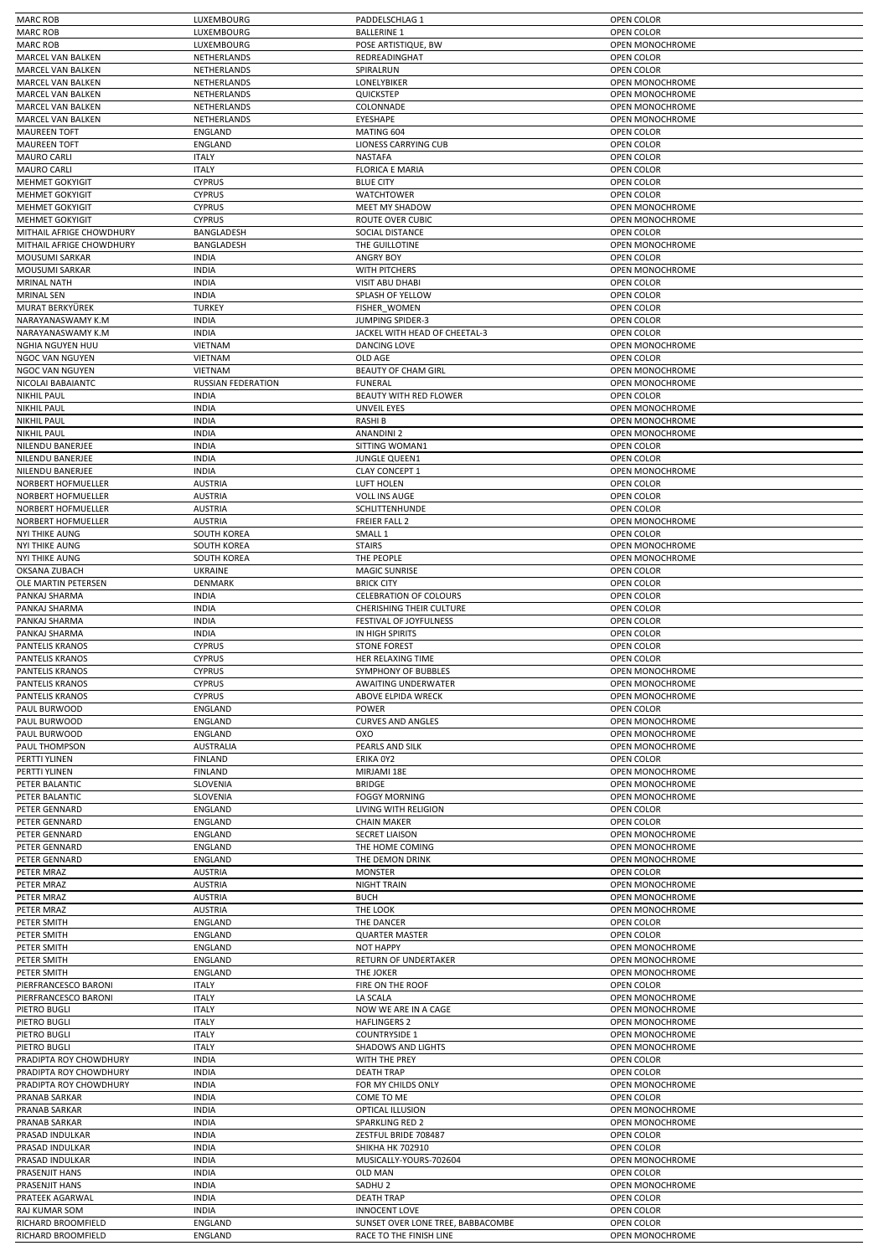| <b>MARC ROB</b>                          | LUXEMBOURG                | PADDELSCHLAG 1                                               | OPEN COLOR                    |
|------------------------------------------|---------------------------|--------------------------------------------------------------|-------------------------------|
| <b>MARC ROB</b>                          | LUXEMBOURG                | <b>BALLERINE 1</b>                                           | OPEN COLOR                    |
| <b>MARC ROB</b>                          | LUXEMBOURG                | POSE ARTISTIQUE, BW                                          | OPEN MONOCHROME               |
| MARCEL VAN BALKEN                        | NETHERLANDS               | REDREADINGHAT                                                | OPEN COLOR                    |
| <b>MARCEL VAN BALKEN</b>                 | NETHERLANDS               | SPIRALRUN                                                    | OPEN COLOR                    |
| MARCEL VAN BALKEN                        | NETHERLANDS               | LONELYBIKER                                                  | OPEN MONOCHROME               |
| <b>MARCEL VAN BALKEN</b>                 | NETHERLANDS               | QUICKSTEP                                                    | <b>OPEN MONOCHROME</b>        |
| MARCEL VAN BALKEN                        | NETHERLANDS               | <b>COLONNADE</b>                                             | OPEN MONOCHROME               |
| MARCEL VAN BALKEN                        | NETHERLANDS               | EYESHAPE                                                     | OPEN MONOCHROME               |
| <b>MAUREEN TOFT</b>                      | ENGLAND                   | MATING 604                                                   | OPEN COLOR                    |
| <b>MAUREEN TOFT</b>                      | ENGLAND                   | <b>LIONESS CARRYING CUB</b>                                  | OPEN COLOR                    |
| <b>MAURO CARLI</b>                       | <b>ITALY</b>              | <b>NASTAFA</b>                                               | OPEN COLOR                    |
| <b>MAURO CARLI</b>                       | <b>ITALY</b>              | <b>FLORICA E MARIA</b>                                       | OPEN COLOR                    |
| <b>MEHMET GOKYIGIT</b>                   | <b>CYPRUS</b>             | <b>BLUE CITY</b>                                             | OPEN COLOR                    |
| <b>MEHMET GOKYIGIT</b>                   | <b>CYPRUS</b>             | WATCHTOWER                                                   | OPEN COLOR                    |
| MEHMET GOKYIGIT                          | <b>CYPRUS</b>             | MEET MY SHADOW                                               | OPEN MONOCHROME               |
| <b>MEHMET GOKYIGIT</b>                   | <b>CYPRUS</b>             | <b>ROUTE OVER CUBIC</b>                                      | <b>OPEN MONOCHROME</b>        |
| MITHAIL AFRIGE CHOWDHURY                 | BANGLADESH                | SOCIAL DISTANCE                                              | OPEN COLOR                    |
| MITHAIL AFRIGE CHOWDHURY                 | BANGLADESH                | THE GUILLOTINE                                               | OPEN MONOCHROME               |
| MOUSUMI SARKAR                           | <b>INDIA</b>              | <b>ANGRY BOY</b>                                             | OPEN COLOR                    |
| MOUSUMI SARKAR                           | <b>INDIA</b>              | WITH PITCHERS                                                | OPEN MONOCHROME               |
| <b>MRINAL NATH</b>                       | <b>INDIA</b>              | <b>VISIT ABU DHABI</b>                                       | OPEN COLOR                    |
| <b>MRINAL SEN</b>                        | <b>INDIA</b>              | SPLASH OF YELLOW                                             | OPEN COLOR                    |
| MURAT BERKYÜREK                          | <b>TURKEY</b>             | <b>FISHER WOMEN</b>                                          | OPEN COLOR                    |
| NARAYANASWAMY K.M                        | <b>INDIA</b>              | <b>JUMPING SPIDER-3</b>                                      | OPEN COLOR                    |
| NARAYANASWAMY K.M                        | <b>INDIA</b>              | JACKEL WITH HEAD OF CHEETAL-3                                | OPEN COLOR                    |
| NGHIA NGUYEN HUU                         | <b>VIETNAM</b>            | <b>DANCING LOVE</b>                                          | OPEN MONOCHROME               |
| NGOC VAN NGUYEN                          | <b>VIETNAM</b>            | OLD AGE                                                      | OPEN COLOR                    |
| NGOC VAN NGUYEN                          | VIETNAM                   | BEAUTY OF CHAM GIRL                                          | OPEN MONOCHROME               |
| NICOLAI BABAIANTC                        | RUSSIAN FEDERATION        | <b>FUNERAL</b>                                               | OPEN MONOCHROME               |
| <b>NIKHIL PAUL</b>                       | <b>INDIA</b>              | BEAUTY WITH RED FLOWER                                       | <b>OPEN COLOR</b>             |
| <b>NIKHIL PAUL</b>                       | <b>INDIA</b>              | <b>UNVEIL EYES</b>                                           | <b>OPEN MONOCHROME</b>        |
| <b>NIKHIL PAUL</b>                       | <b>INDIA</b>              | <b>RASHIB</b>                                                | OPEN MONOCHROME               |
| <b>NIKHIL PAUL</b>                       | <b>INDIA</b>              | <b>ANANDINI 2</b>                                            | OPEN MONOCHROME               |
| <b>NILENDU BANERJEE</b>                  | <b>INDIA</b>              | SITTING WOMAN1                                               | <b>OPEN COLOR</b>             |
| NILENDU BANERJEE                         | <b>INDIA</b>              | JUNGLE QUEEN1                                                | OPEN COLOR                    |
| NILENDU BANERJEE                         | <b>INDIA</b>              | <b>CLAY CONCEPT 1</b>                                        | OPEN MONOCHROME               |
| NORBERT HOFMUELLER                       | <b>AUSTRIA</b>            | <b>LUFT HOLEN</b>                                            | OPEN COLOR                    |
| NORBERT HOFMUELLER                       | <b>AUSTRIA</b>            | <b>VOLL INS AUGE</b>                                         | OPEN COLOR                    |
| NORBERT HOFMUELLER                       | <b>AUSTRIA</b>            | SCHLITTENHUNDE                                               | OPEN COLOR                    |
| NORBERT HOFMUELLER                       | <b>AUSTRIA</b>            | <b>FREIER FALL 2</b>                                         | OPEN MONOCHROME               |
| <b>NYI THIKE AUNG</b>                    | <b>SOUTH KOREA</b>        | SMALL <sub>1</sub>                                           | OPEN COLOR                    |
| <b>NYI THIKE AUNG</b>                    | <b>SOUTH KOREA</b>        | <b>STAIRS</b>                                                | OPEN MONOCHROME               |
| <b>NYI THIKE AUNG</b>                    | <b>SOUTH KOREA</b>        | THE PEOPLE                                                   | OPEN MONOCHROME               |
| OKSANA ZUBACH                            | <b>UKRAINE</b>            | <b>MAGIC SUNRISE</b>                                         | OPEN COLOR                    |
| OLE MARTIN PETERSEN                      | DENMARK                   | <b>BRICK CITY</b>                                            | OPEN COLOR                    |
| PANKAJ SHARMA                            | <b>INDIA</b>              | <b>CELEBRATION OF COLOURS</b>                                | OPEN COLOR                    |
| PANKAJ SHARMA                            | <b>INDIA</b>              | <b>CHERISHING THEIR CULTURE</b>                              | OPEN COLOR                    |
| PANKAJ SHARMA                            | <b>INDIA</b>              | FESTIVAL OF JOYFULNESS                                       | OPEN COLOR                    |
| PANKAJ SHARMA                            | <b>INDIA</b>              | IN HIGH SPIRITS                                              | OPEN COLOR                    |
| PANTELIS KRANOS                          | <b>CYPRUS</b>             | <b>STONE FOREST</b>                                          | OPEN COLOR                    |
| <b>PANTELIS KRANOS</b>                   | <b>CYPRUS</b>             | HER RELAXING TIME                                            | OPEN COLOR                    |
| PANTELIS KRANOS                          | <b>CYPRUS</b>             | SYMPHONY OF BUBBLES                                          | <b>OPEN MONOCHROME</b>        |
| PANTELIS KRANOS                          | <b>CYPRUS</b>             | AWAITING UNDERWATER                                          | OPEN MONOCHROME               |
| PANTELIS KRANOS                          | <b>CYPRUS</b>             | ABOVE ELPIDA WRECK                                           | OPEN MONOCHROME               |
| PAUL BURWOOD                             | ENGLAND                   | POWER                                                        | OPEN COLOR                    |
| PAUL BURWOOD                             | ENGLAND                   | <b>CURVES AND ANGLES</b>                                     | OPEN MONOCHROME               |
| PAUL BURWOOD                             | <b>ENGLAND</b>            | oxo                                                          | <b>OPEN MONOCHROME</b>        |
| PAUL THOMPSON                            | <b>AUSTRALIA</b>          | PEARLS AND SILK                                              | OPEN MONOCHROME               |
| PERTTI YLINEN                            | <b>FINLAND</b>            | ERIKA 0Y2                                                    | OPEN COLOR                    |
| PERTTI YLINEN                            | <b>FINLAND</b>            | MIRJAMI 18E                                                  | OPEN MONOCHROME               |
| PETER BALANTIC                           | SLOVENIA                  | <b>BRIDGE</b>                                                | OPEN MONOCHROME               |
| PETER BALANTIC                           | SLOVENIA                  | <b>FOGGY MORNING</b>                                         | OPEN MONOCHROME               |
| PETER GENNARD                            | ENGLAND                   | LIVING WITH RELIGION                                         | OPEN COLOR                    |
| PETER GENNARD                            | <b>ENGLAND</b>            | <b>CHAIN MAKER</b>                                           | OPEN COLOR                    |
| PETER GENNARD                            | ENGLAND                   | <b>SECRET LIAISON</b>                                        | OPEN MONOCHROME               |
| PETER GENNARD                            | ENGLAND                   | THE HOME COMING                                              | OPEN MONOCHROME               |
| PETER GENNARD                            | <b>ENGLAND</b>            | THE DEMON DRINK                                              | OPEN MONOCHROME               |
| PETER MRAZ                               | <b>AUSTRIA</b>            | <b>MONSTER</b>                                               | OPEN COLOR                    |
| PETER MRAZ                               | <b>AUSTRIA</b>            | <b>NIGHT TRAIN</b>                                           | OPEN MONOCHROME               |
| PETER MRAZ                               | <b>AUSTRIA</b>            | <b>BUCH</b>                                                  | OPEN MONOCHROME               |
| PETER MRAZ                               | <b>AUSTRIA</b>            | THE LOOK                                                     | OPEN MONOCHROME               |
| PETER SMITH                              | <b>ENGLAND</b>            | THE DANCER                                                   | OPEN COLOR                    |
| PETER SMITH                              | ENGLAND                   | <b>QUARTER MASTER</b>                                        | OPEN COLOR                    |
| PETER SMITH                              | <b>ENGLAND</b>            | <b>NOT HAPPY</b>                                             | OPEN MONOCHROME               |
| PETER SMITH                              | ENGLAND                   | RETURN OF UNDERTAKER                                         | OPEN MONOCHROME               |
| PETER SMITH                              | ENGLAND                   | THE JOKER                                                    | OPEN MONOCHROME               |
| PIERFRANCESCO BARONI                     | <b>ITALY</b>              | FIRE ON THE ROOF                                             | OPEN COLOR                    |
| PIERFRANCESCO BARONI                     | <b>ITALY</b>              | LA SCALA                                                     | OPEN MONOCHROME               |
| PIETRO BUGLI                             | <b>ITALY</b>              | NOW WE ARE IN A CAGE                                         | OPEN MONOCHROME               |
| PIETRO BUGLI                             | <b>ITALY</b>              | <b>HAFLINGERS 2</b>                                          | OPEN MONOCHROME               |
| PIETRO BUGLI                             | <b>ITALY</b>              | <b>COUNTRYSIDE 1</b>                                         | OPEN MONOCHROME               |
| PIETRO BUGLI                             | <b>ITALY</b>              | <b>SHADOWS AND LIGHTS</b>                                    | OPEN MONOCHROME               |
| PRADIPTA ROY CHOWDHURY                   | <b>INDIA</b>              | WITH THE PREY                                                | OPEN COLOR                    |
| PRADIPTA ROY CHOWDHURY                   | <b>INDIA</b>              | <b>DEATH TRAP</b>                                            | OPEN COLOR                    |
| PRADIPTA ROY CHOWDHURY                   | <b>INDIA</b>              | FOR MY CHILDS ONLY                                           | OPEN MONOCHROME               |
| PRANAB SARKAR                            | <b>INDIA</b>              | COME TO ME                                                   | OPEN COLOR                    |
| PRANAB SARKAR                            | <b>INDIA</b>              | OPTICAL ILLUSION                                             | OPEN MONOCHROME               |
| PRANAB SARKAR                            | <b>INDIA</b>              | <b>SPARKLING RED 2</b>                                       | OPEN MONOCHROME               |
| PRASAD INDULKAR                          | <b>INDIA</b>              | ZESTFUL BRIDE 708487                                         | OPEN COLOR                    |
| PRASAD INDULKAR                          | <b>INDIA</b>              | <b>SHIKHA HK 702910</b>                                      | OPEN COLOR                    |
| PRASAD INDULKAR                          | <b>INDIA</b>              | MUSICALLY-YOURS-702604                                       | OPEN MONOCHROME               |
| PRASENJIT HANS                           | <b>INDIA</b>              | OLD MAN                                                      | OPEN COLOR                    |
| PRASENJIT HANS                           |                           |                                                              |                               |
|                                          | <b>INDIA</b>              | SADHU <sub>2</sub>                                           | OPEN MONOCHROME               |
| PRATEEK AGARWAL                          | <b>INDIA</b>              | <b>DEATH TRAP</b>                                            | OPEN COLOR                    |
| RAJ KUMAR SOM                            | <b>INDIA</b>              | <b>INNOCENT LOVE</b>                                         | OPEN COLOR                    |
| RICHARD BROOMFIELD<br>RICHARD BROOMFIELD | ENGLAND<br><b>ENGLAND</b> | SUNSET OVER LONE TREE, BABBACOMBE<br>RACE TO THE FINISH LINE | OPEN COLOR<br>OPEN MONOCHROME |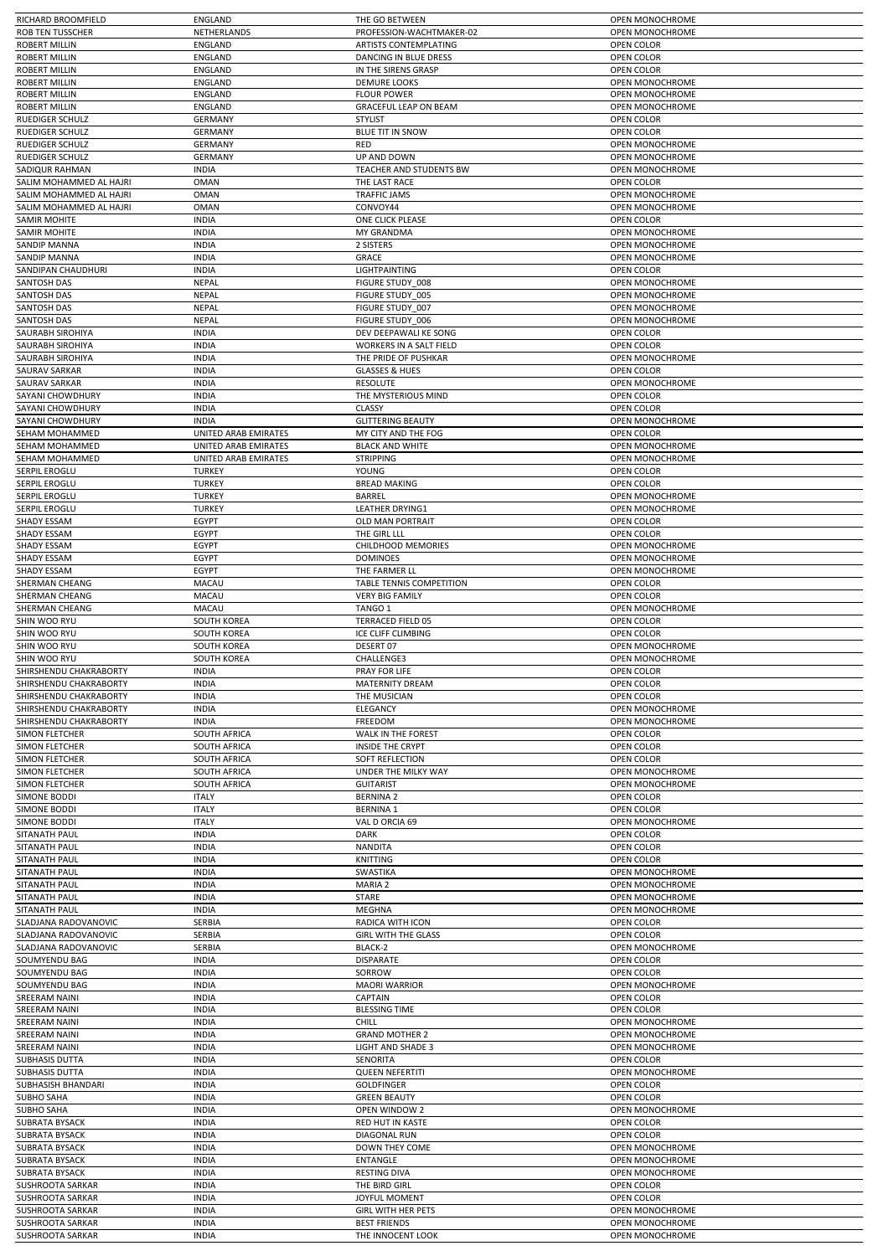|                                                                                                                                                                                                                                                                   | ENGLAND                      | THE GO BETWEEN                           | OPEN MONOCHROME                    |
|-------------------------------------------------------------------------------------------------------------------------------------------------------------------------------------------------------------------------------------------------------------------|------------------------------|------------------------------------------|------------------------------------|
| <b>ROB TEN TUSSCHER</b>                                                                                                                                                                                                                                           | NETHERLANDS                  | PROFESSION-WACHTMAKER-02                 | OPEN MONOCHROME                    |
| <b>ROBERT MILLIN</b>                                                                                                                                                                                                                                              | <b>ENGLAND</b>               | <b>ARTISTS CONTEMPLATING</b>             | OPEN COLOR                         |
|                                                                                                                                                                                                                                                                   |                              |                                          |                                    |
| <b>ROBERT MILLIN</b>                                                                                                                                                                                                                                              | ENGLAND                      | DANCING IN BLUE DRESS                    | OPEN COLOR                         |
| <b>ROBERT MILLIN</b>                                                                                                                                                                                                                                              | <b>ENGLAND</b>               | IN THE SIRENS GRASP                      | OPEN COLOR                         |
| <b>ROBERT MILLIN</b>                                                                                                                                                                                                                                              | ENGLAND                      | <b>DEMURE LOOKS</b>                      | OPEN MONOCHROME                    |
| <b>ROBERT MILLIN</b>                                                                                                                                                                                                                                              | ENGLAND                      | <b>FLOUR POWER</b>                       | <b>OPEN MONOCHROME</b>             |
| <b>ROBERT MILLIN</b>                                                                                                                                                                                                                                              | ENGLAND                      | <b>GRACEFUL LEAP ON BEAM</b>             | <b>OPEN MONOCHROME</b>             |
| <b>RUEDIGER SCHULZ</b>                                                                                                                                                                                                                                            | <b>GERMANY</b>               | <b>STYLIST</b>                           | OPEN COLOR                         |
| RUEDIGER SCHULZ                                                                                                                                                                                                                                                   | <b>GERMANY</b>               | <b>BLUE TIT IN SNOW</b>                  | OPEN COLOR                         |
|                                                                                                                                                                                                                                                                   |                              |                                          |                                    |
| RUEDIGER SCHULZ                                                                                                                                                                                                                                                   | <b>GERMANY</b>               | RED                                      | OPEN MONOCHROME                    |
| RUEDIGER SCHULZ                                                                                                                                                                                                                                                   | <b>GERMANY</b>               | UP AND DOWN                              | OPEN MONOCHROME                    |
| <b>SADIQUR RAHMAN</b>                                                                                                                                                                                                                                             | <b>INDIA</b>                 | TEACHER AND STUDENTS BW                  | <b>OPEN MONOCHROME</b>             |
| SALIM MOHAMMED AL HAJRI                                                                                                                                                                                                                                           | <b>OMAN</b>                  | THE LAST RACE                            | OPEN COLOR                         |
| SALIM MOHAMMED AL HAJRI                                                                                                                                                                                                                                           | <b>OMAN</b>                  | <b>TRAFFIC JAMS</b>                      | OPEN MONOCHROME                    |
| SALIM MOHAMMED AL HAJRI                                                                                                                                                                                                                                           | <b>OMAN</b>                  | CONVOY44                                 | OPEN MONOCHROME                    |
| <b>SAMIR MOHITE</b>                                                                                                                                                                                                                                               | <b>INDIA</b>                 | ONE CLICK PLEASE                         | OPEN COLOR                         |
| <b>SAMIR MOHITE</b>                                                                                                                                                                                                                                               | <b>INDIA</b>                 | MY GRANDMA                               | OPEN MONOCHROME                    |
| <b>SANDIP MANNA</b>                                                                                                                                                                                                                                               | <b>INDIA</b>                 | 2 SISTERS                                | OPEN MONOCHROME                    |
|                                                                                                                                                                                                                                                                   |                              |                                          |                                    |
| SANDIP MANNA                                                                                                                                                                                                                                                      | <b>INDIA</b>                 | GRACE                                    | OPEN MONOCHROME                    |
| SANDIPAN CHAUDHURI                                                                                                                                                                                                                                                | <b>INDIA</b>                 | LIGHTPAINTING                            | OPEN COLOR                         |
| SANTOSH DAS                                                                                                                                                                                                                                                       | NEPAL                        | FIGURE STUDY 008                         | OPEN MONOCHROME                    |
| <b>SANTOSH DAS</b>                                                                                                                                                                                                                                                | <b>NEPAL</b>                 | FIGURE STUDY 005                         | OPEN MONOCHROME                    |
| SANTOSH DAS                                                                                                                                                                                                                                                       | <b>NEPAL</b>                 | FIGURE STUDY 007                         | OPEN MONOCHROME                    |
| SANTOSH DAS                                                                                                                                                                                                                                                       | NEPAL                        | FIGURE STUDY 006                         | <b>OPEN MONOCHROME</b>             |
| SAURABH SIROHIYA                                                                                                                                                                                                                                                  | <b>INDIA</b>                 | DEV DEEPAWALI KE SONG                    | OPEN COLOR                         |
| SAURABH SIROHIYA                                                                                                                                                                                                                                                  | <b>INDIA</b>                 | WORKERS IN A SALT FIELD                  | OPEN COLOR                         |
| SAURABH SIROHIYA                                                                                                                                                                                                                                                  | <b>INDIA</b>                 | THE PRIDE OF PUSHKAR                     | <b>OPEN MONOCHROME</b>             |
|                                                                                                                                                                                                                                                                   |                              |                                          |                                    |
| SAURAV SARKAR                                                                                                                                                                                                                                                     | <b>INDIA</b>                 | <b>GLASSES &amp; HUES</b>                | OPEN COLOR                         |
| SAURAV SARKAR                                                                                                                                                                                                                                                     | <b>INDIA</b>                 | <b>RESOLUTE</b>                          | OPEN MONOCHROME                    |
| SAYANI CHOWDHURY                                                                                                                                                                                                                                                  | <b>INDIA</b>                 | THE MYSTERIOUS MIND                      | OPEN COLOR                         |
| SAYANI CHOWDHURY                                                                                                                                                                                                                                                  | <b>INDIA</b>                 | CLASSY                                   | OPEN COLOR                         |
| SAYANI CHOWDHURY                                                                                                                                                                                                                                                  | <b>INDIA</b>                 | <b>GLITTERING BEAUTY</b>                 | <b>OPEN MONOCHROME</b>             |
| SEHAM MOHAMMED                                                                                                                                                                                                                                                    | UNITED ARAB EMIRATES         | MY CITY AND THE FOG                      | OPEN COLOR                         |
|                                                                                                                                                                                                                                                                   |                              |                                          | OPEN MONOCHROME                    |
| SEHAM MOHAMMED                                                                                                                                                                                                                                                    | UNITED ARAB EMIRATES         | <b>BLACK AND WHITE</b>                   |                                    |
| SEHAM MOHAMMED                                                                                                                                                                                                                                                    | UNITED ARAB EMIRATES         | <b>STRIPPING</b>                         | OPEN MONOCHROME                    |
| SERPIL EROGLU                                                                                                                                                                                                                                                     | <b>TURKEY</b>                | YOUNG                                    | OPEN COLOR                         |
| SERPIL EROGLU                                                                                                                                                                                                                                                     | <b>TURKEY</b>                | <b>BREAD MAKING</b>                      | OPEN COLOR                         |
| SERPIL EROGLU                                                                                                                                                                                                                                                     | <b>TURKEY</b>                | <b>BARREL</b>                            | OPEN MONOCHROME                    |
| SERPIL EROGLU                                                                                                                                                                                                                                                     | <b>TURKEY</b>                | <b>LEATHER DRYING1</b>                   | OPEN MONOCHROME                    |
| SHADY ESSAM                                                                                                                                                                                                                                                       | EGYPT                        | <b>OLD MAN PORTRAIT</b>                  | OPEN COLOR                         |
| SHADY ESSAM                                                                                                                                                                                                                                                       | EGYPT                        | THE GIRL LLL                             | OPEN COLOR                         |
|                                                                                                                                                                                                                                                                   |                              |                                          |                                    |
| <b>SHADY ESSAM</b>                                                                                                                                                                                                                                                | EGYPT                        | <b>CHILDHOOD MEMORIES</b>                | OPEN MONOCHROME                    |
| SHADY ESSAM                                                                                                                                                                                                                                                       | EGYPT                        | <b>DOMINOES</b>                          | OPEN MONOCHROME                    |
| SHADY ESSAM                                                                                                                                                                                                                                                       | EGYPT                        | THE FARMER LL                            | OPEN MONOCHROME                    |
| SHERMAN CHEANG                                                                                                                                                                                                                                                    | MACAU                        | TABLE TENNIS COMPETITION                 | OPEN COLOR                         |
| SHERMAN CHEANG                                                                                                                                                                                                                                                    | MACAU                        | <b>VERY BIG FAMILY</b>                   | OPEN COLOR                         |
| SHERMAN CHEANG                                                                                                                                                                                                                                                    | MACAU                        | TANGO 1                                  | OPEN MONOCHROME                    |
| SHIN WOO RYU                                                                                                                                                                                                                                                      | SOUTH KOREA                  | TERRACED FIELD 05                        | OPEN COLOR                         |
|                                                                                                                                                                                                                                                                   |                              |                                          |                                    |
| SHIN WOO RYU                                                                                                                                                                                                                                                      | <b>SOUTH KOREA</b>           | ICE CLIFF CLIMBING                       | OPEN COLOR                         |
|                                                                                                                                                                                                                                                                   |                              |                                          |                                    |
|                                                                                                                                                                                                                                                                   | <b>SOUTH KOREA</b>           | DESERT 07                                | OPEN MONOCHROME                    |
|                                                                                                                                                                                                                                                                   | <b>SOUTH KOREA</b>           | CHALLENGE3                               | OPEN MONOCHROME                    |
|                                                                                                                                                                                                                                                                   | <b>INDIA</b>                 | PRAY FOR LIFE                            | OPEN COLOR                         |
|                                                                                                                                                                                                                                                                   |                              |                                          |                                    |
| SHIN WOO RYU<br>SHIN WOO RYU<br>SHIRSHENDU CHAKRABORTY<br>SHIRSHENDU CHAKRABORTY                                                                                                                                                                                  | <b>INDIA</b>                 | MATERNITY DREAM                          | OPEN COLOR                         |
|                                                                                                                                                                                                                                                                   | <b>INDIA</b>                 | THE MUSICIAN                             | OPEN COLOR                         |
|                                                                                                                                                                                                                                                                   | <b>INDIA</b>                 | ELEGANCY                                 | OPEN MONOCHROME                    |
|                                                                                                                                                                                                                                                                   | <b>INDIA</b>                 | FREEDOM                                  | OPEN MONOCHROME                    |
| SHIRSHENDU CHAKRABORTY<br>SHIRSHENDU CHAKRABORTY<br>SHIRSHENDU CHAKRABORTY<br><b>SIMON FLETCHER</b>                                                                                                                                                               | SOUTH AFRICA                 | WALK IN THE FOREST                       | OPEN COLOR                         |
|                                                                                                                                                                                                                                                                   | <b>SOUTH AFRICA</b>          | <b>INSIDE THE CRYPT</b>                  | OPEN COLOR                         |
|                                                                                                                                                                                                                                                                   | SOUTH AFRICA                 | SOFT REFLECTION                          | OPEN COLOR                         |
| SIMON FLETCHER<br>SIMON FLETCHER                                                                                                                                                                                                                                  |                              |                                          | <b>OPEN MONOCHROME</b>             |
|                                                                                                                                                                                                                                                                   | SOUTH AFRICA                 | UNDER THE MILKY WAY                      |                                    |
| SIMON FLETCHER<br>SIMON FLETCHER                                                                                                                                                                                                                                  | SOUTH AFRICA                 | <b>GUITARIST</b>                         | OPEN MONOCHROME                    |
| <b>SIMONE BODDI</b>                                                                                                                                                                                                                                               | <b>ITALY</b>                 | <b>BERNINA 2</b>                         | OPEN COLOR                         |
|                                                                                                                                                                                                                                                                   | <b>ITALY</b>                 | <b>BERNINA 1</b>                         | OPEN COLOR                         |
| <b>SIMONE BODDI</b><br><b>SIMONE BODDI</b>                                                                                                                                                                                                                        | <b>ITALY</b>                 | VAL D ORCIA 69                           | OPEN MONOCHROME                    |
| SITANATH PAUL                                                                                                                                                                                                                                                     | <b>INDIA</b>                 | DARK                                     | OPEN COLOR                         |
| SITANATH PAUL                                                                                                                                                                                                                                                     | <b>INDIA</b>                 | <b>NANDITA</b>                           | OPEN COLOR                         |
| SITANATH PAUL                                                                                                                                                                                                                                                     | <b>INDIA</b>                 | <b>KNITTING</b>                          | OPEN COLOR                         |
| SITANATH PAUL                                                                                                                                                                                                                                                     | <b>INDIA</b>                 | SWASTIKA                                 | OPEN MONOCHROME                    |
| SITANATH PAUL                                                                                                                                                                                                                                                     | <b>INDIA</b>                 | MARIA 2                                  | OPEN MONOCHROME                    |
|                                                                                                                                                                                                                                                                   | <b>INDIA</b>                 |                                          |                                    |
| SITANATH PAUL                                                                                                                                                                                                                                                     |                              | STARE                                    | OPEN MONOCHROME                    |
| SITANATH PAUL                                                                                                                                                                                                                                                     | <b>INDIA</b>                 | <b>MEGHNA</b>                            | OPEN MONOCHROME                    |
| SLADJANA RADOVANOVIC                                                                                                                                                                                                                                              | SERBIA                       | RADICA WITH ICON                         | OPEN COLOR                         |
| SLADJANA RADOVANOVIC                                                                                                                                                                                                                                              | SERBIA                       | <b>GIRL WITH THE GLASS</b>               | OPEN COLOR                         |
| SLADJANA RADOVANOVIC                                                                                                                                                                                                                                              | SERBIA                       | BLACK-2                                  | OPEN MONOCHROME                    |
| SOUMYENDU BAG                                                                                                                                                                                                                                                     | <b>INDIA</b>                 | DISPARATE                                | OPEN COLOR                         |
| SOUMYENDU BAG                                                                                                                                                                                                                                                     | <b>INDIA</b>                 | SORROW                                   | OPEN COLOR                         |
| SOUMYENDU BAG                                                                                                                                                                                                                                                     | <b>INDIA</b>                 | <b>MAORI WARRIOR</b>                     | OPEN MONOCHROME                    |
| <b>SREERAM NAINI</b>                                                                                                                                                                                                                                              | <b>INDIA</b>                 | <b>CAPTAIN</b>                           | OPEN COLOR                         |
|                                                                                                                                                                                                                                                                   |                              |                                          |                                    |
| <b>SREERAM NAINI</b>                                                                                                                                                                                                                                              | <b>INDIA</b>                 | <b>BLESSING TIME</b>                     | OPEN COLOR                         |
| <b>SREERAM NAINI</b>                                                                                                                                                                                                                                              | <b>INDIA</b>                 | <b>CHILL</b>                             | OPEN MONOCHROME                    |
| <b>SREERAM NAINI</b>                                                                                                                                                                                                                                              | <b>INDIA</b>                 | <b>GRAND MOTHER 2</b>                    | OPEN MONOCHROME                    |
| <b>SREERAM NAINI</b>                                                                                                                                                                                                                                              | <b>INDIA</b>                 | <b>LIGHT AND SHADE 3</b>                 | OPEN MONOCHROME                    |
| <b>SUBHASIS DUTTA</b>                                                                                                                                                                                                                                             | <b>INDIA</b>                 | SENORITA                                 | OPEN COLOR                         |
|                                                                                                                                                                                                                                                                   | <b>INDIA</b>                 | <b>QUEEN NEFERTITI</b>                   | OPEN MONOCHROME                    |
|                                                                                                                                                                                                                                                                   | <b>INDIA</b>                 | <b>GOLDFINGER</b>                        | OPEN COLOR                         |
|                                                                                                                                                                                                                                                                   |                              |                                          |                                    |
|                                                                                                                                                                                                                                                                   | <b>INDIA</b>                 | <b>GREEN BEAUTY</b>                      | OPEN COLOR                         |
|                                                                                                                                                                                                                                                                   | <b>INDIA</b>                 | OPEN WINDOW 2                            | OPEN MONOCHROME                    |
|                                                                                                                                                                                                                                                                   | <b>INDIA</b>                 | <b>RED HUT IN KASTE</b>                  | OPEN COLOR                         |
|                                                                                                                                                                                                                                                                   | <b>INDIA</b>                 | <b>DIAGONAL RUN</b>                      | OPEN COLOR                         |
|                                                                                                                                                                                                                                                                   | <b>INDIA</b>                 | DOWN THEY COME                           | OPEN MONOCHROME                    |
|                                                                                                                                                                                                                                                                   | <b>INDIA</b>                 | ENTANGLE                                 | OPEN MONOCHROME                    |
|                                                                                                                                                                                                                                                                   | <b>INDIA</b>                 | <b>RESTING DIVA</b>                      | OPEN MONOCHROME                    |
|                                                                                                                                                                                                                                                                   | <b>INDIA</b>                 | THE BIRD GIRL                            | OPEN COLOR                         |
| <b>SUBHASIS DUTTA</b><br>SUBHASISH BHANDARI<br><b>SUBHO SAHA</b><br><b>SUBHO SAHA</b><br><b>SUBRATA BYSACK</b><br><b>SUBRATA BYSACK</b><br><b>SUBRATA BYSACK</b><br><b>SUBRATA BYSACK</b><br><b>SUBRATA BYSACK</b><br><b>SUSHROOTA SARKAR</b><br>SUSHROOTA SARKAR | <b>INDIA</b>                 | <b>JOYFUL MOMENT</b>                     | OPEN COLOR                         |
|                                                                                                                                                                                                                                                                   |                              |                                          |                                    |
| SUSHROOTA SARKAR                                                                                                                                                                                                                                                  | <b>INDIA</b>                 | <b>GIRL WITH HER PETS</b>                | OPEN MONOCHROME                    |
| SUSHROOTA SARKAR<br>SUSHROOTA SARKAR                                                                                                                                                                                                                              | <b>INDIA</b><br><b>INDIA</b> | <b>BEST FRIENDS</b><br>THE INNOCENT LOOK | OPEN MONOCHROME<br>OPEN MONOCHROME |